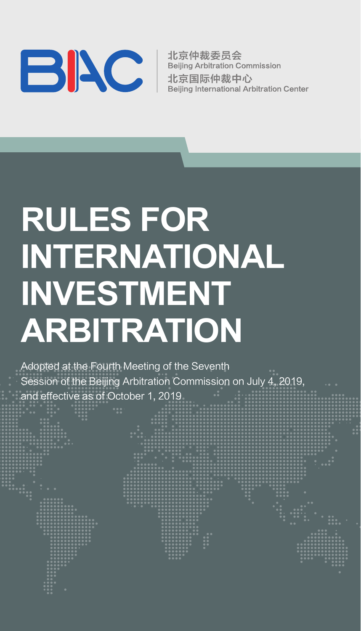

北京仲裁委员会 **Beiling Arbitration Commission** 北京国际仲裁中心 Beiling International Arbitration Center

# **RULES FOR INTERNATIONAL INVESTMENT ARBITRATION**

Adopted at the Fourth Meeting of the Seventh Session of the Beijing Arbitration Commission on July 4, 2019, and effective as of October 1, 2019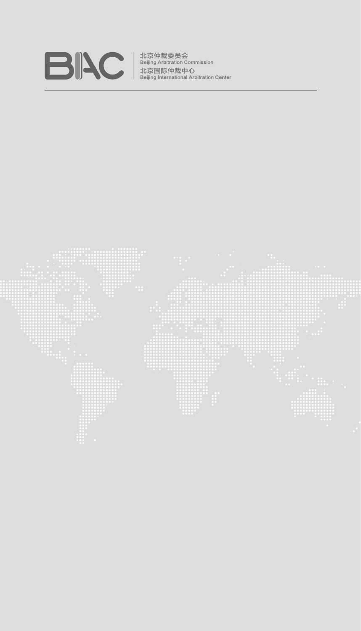

北京仲裁委员会<br>Beijing Arbitration Commission<br>北京国际仲裁中心<br>Beijing International Arbitration Center

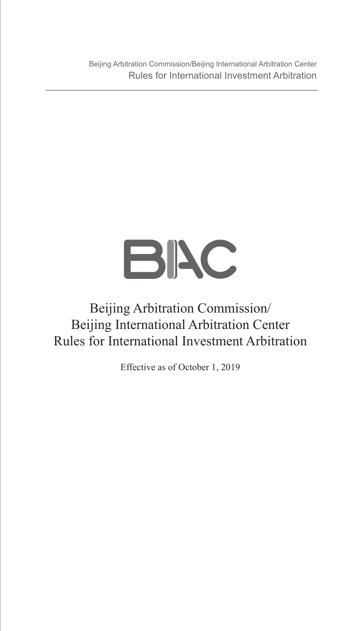Beijing Arbitration Commission/Beijing International Arbitration Center Rules for International Investment Arbitration



### Beijing Arbitration Commission/ Beijing International Arbitration Center Rules for International Investment Arbitration

Effective as of October 1, 2019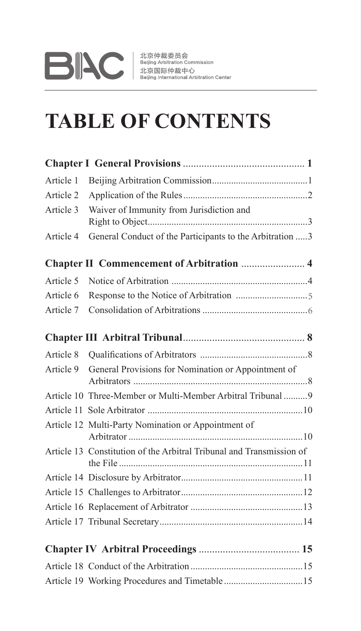# **DAV** 北京伸裁委员会<br>北京国际仲裁中心<br>Beijing International Arbitration Center

### **TABLE OF CONTENTS**

| Article 1 |                                                                      |
|-----------|----------------------------------------------------------------------|
| Article 2 |                                                                      |
| Article 3 | Waiver of Immunity from Jurisdiction and                             |
| Article 4 | General Conduct of the Participants to the Arbitration 3             |
|           | Chapter II Commencement of Arbitration  4                            |
| Article 5 |                                                                      |
| Article 6 |                                                                      |
| Article 7 |                                                                      |
|           |                                                                      |
| Article 8 |                                                                      |
| Article 9 | General Provisions for Nomination or Appointment of                  |
|           | Article 10 Three-Member or Multi-Member Arbitral Tribunal  9         |
|           |                                                                      |
|           | Article 12 Multi-Party Nomination or Appointment of                  |
|           | Article 13 Constitution of the Arbitral Tribunal and Transmission of |
|           |                                                                      |
|           |                                                                      |
|           |                                                                      |
|           |                                                                      |
|           |                                                                      |
|           |                                                                      |
|           |                                                                      |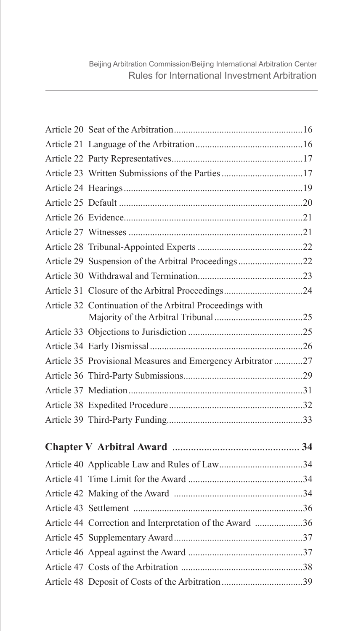| Article 29 Suspension of the Arbitral Proceedings22         |  |
|-------------------------------------------------------------|--|
|                                                             |  |
|                                                             |  |
| Article 32 Continuation of the Arbitral Proceedings with    |  |
|                                                             |  |
|                                                             |  |
| Article 35 Provisional Measures and Emergency Arbitrator 27 |  |
|                                                             |  |
|                                                             |  |
|                                                             |  |
|                                                             |  |
|                                                             |  |
|                                                             |  |
|                                                             |  |
|                                                             |  |
|                                                             |  |
| Article 44 Correction and Interpretation of the Award 36    |  |
|                                                             |  |
|                                                             |  |
|                                                             |  |
|                                                             |  |
|                                                             |  |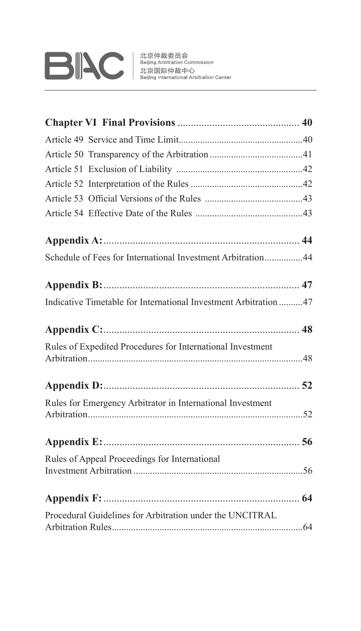

| Schedule of Fees for International Investment Arbitration44      |  |
|------------------------------------------------------------------|--|
|                                                                  |  |
| Indicative Timetable for International Investment Arbitration 47 |  |
|                                                                  |  |
| Rules of Expedited Procedures for International Investment       |  |
|                                                                  |  |
|                                                                  |  |
| Rules for Emergency Arbitrator in International Investment       |  |
|                                                                  |  |
| Rules of Appeal Proceedings for International                    |  |
|                                                                  |  |
|                                                                  |  |
| Procedural Guidelines for Arbitration under the UNCITRAL         |  |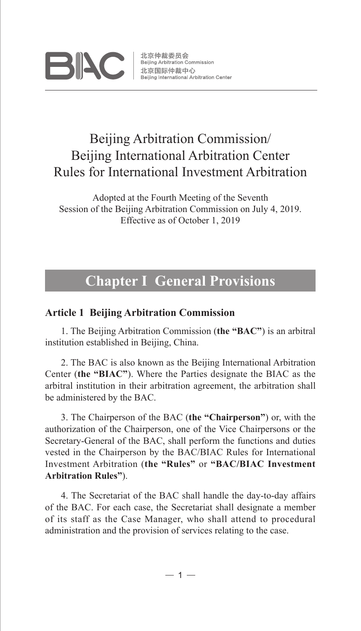

北京仲裁委员会 Beijing Arbitration Commission 北京国际仲裁中心 Beiling International Arbitration Center

### Beijing Arbitration Commission/ Beijing International Arbitration Center Rules for International Investment Arbitration

Adopted at the Fourth Meeting of the Seventh Session of the Beijing Arbitration Commission on July 4, 2019. Effective as of October 1, 2019

### **Chapter I General Provisions**

#### **Article 1 Beijing Arbitration Commission**

1. The Beijing Arbitration Commission (**the "BAC"**) is an arbitral institution established in Beijing, China.

2. The BAC is also known as the Beijing International Arbitration Center (**the "BIAC"**). Where the Parties designate the BIAC as the arbitral institution in their arbitration agreement, the arbitration shall be administered by the BAC.

3. The Chairperson of the BAC (**the "Chairperson"**) or, with the authorization of the Chairperson, one of the Vice Chairpersons or the Secretary-General of the BAC, shall perform the functions and duties vested in the Chairperson by the BAC/BIAC Rules for International Investment Arbitration (**the "Rules"** or **"BAC/BIAC Investment Arbitration Rules"**).

4. The Secretariat of the BAC shall handle the day-to-day affairs of the BAC. For each case, the Secretariat shall designate a member of its staff as the Case Manager, who shall attend to procedural administration and the provision of services relating to the case.

 $-1-$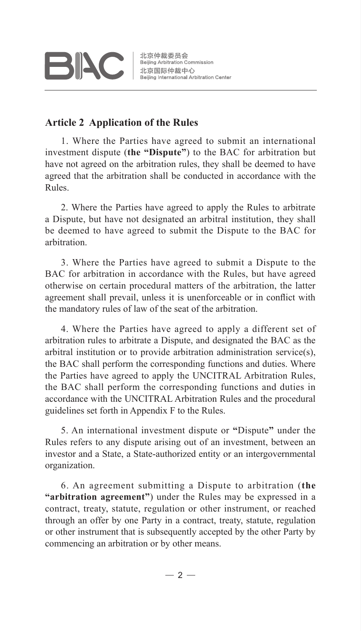# **BIAC**

#### **Article 2 Application of the Rules**

1. Where the Parties have agreed to submit an international investment dispute (**the "Dispute"**) to the BAC for arbitration but have not agreed on the arbitration rules, they shall be deemed to have agreed that the arbitration shall be conducted in accordance with the Rules.

2. Where the Parties have agreed to apply the Rules to arbitrate a Dispute, but have not designated an arbitral institution, they shall be deemed to have agreed to submit the Dispute to the BAC for arbitration.

3. Where the Parties have agreed to submit a Dispute to the BAC for arbitration in accordance with the Rules, but have agreed otherwise on certain procedural matters of the arbitration, the latter agreement shall prevail, unless it is unenforceable or in conflict with the mandatory rules of law of the seat of the arbitration.

4. Where the Parties have agreed to apply a different set of arbitration rules to arbitrate a Dispute, and designated the BAC as the arbitral institution or to provide arbitration administration service(s), the BAC shall perform the corresponding functions and duties. Where the Parties have agreed to apply the UNCITRAL Arbitration Rules, the BAC shall perform the corresponding functions and duties in accordance with the UNCITRAL Arbitration Rules and the procedural guidelines set forth in Appendix F to the Rules.

5. An international investment dispute or **"**Dispute**"** under the Rules refers to any dispute arising out of an investment, between an investor and a State, a State-authorized entity or an intergovernmental organization.

6. An agreement submitting a Dispute to arbitration (**the "arbitration agreement"**) under the Rules may be expressed in a contract, treaty, statute, regulation or other instrument, or reached through an offer by one Party in a contract, treaty, statute, regulation or other instrument that is subsequently accepted by the other Party by commencing an arbitration or by other means.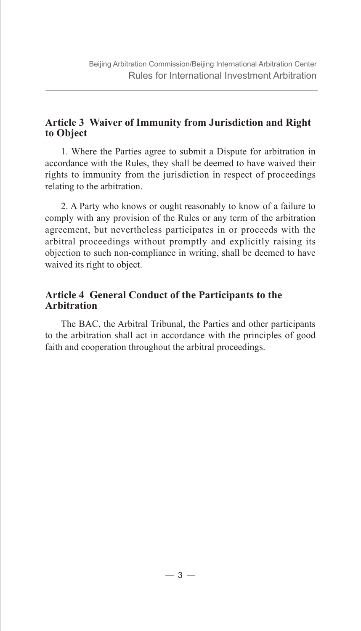#### **Article 3 Waiver of Immunity from Jurisdiction and Right to Object**

1. Where the Parties agree to submit a Dispute for arbitration in accordance with the Rules, they shall be deemed to have waived their rights to immunity from the jurisdiction in respect of proceedings relating to the arbitration.

2. A Party who knows or ought reasonably to know of a failure to comply with any provision of the Rules or any term of the arbitration agreement, but nevertheless participates in or proceeds with the arbitral proceedings without promptly and explicitly raising its objection to such non-compliance in writing, shall be deemed to have waived its right to object.

#### **Article 4 General Conduct of the Participants to the Arbitration**

The BAC, the Arbitral Tribunal, the Parties and other participants to the arbitration shall act in accordance with the principles of good faith and cooperation throughout the arbitral proceedings.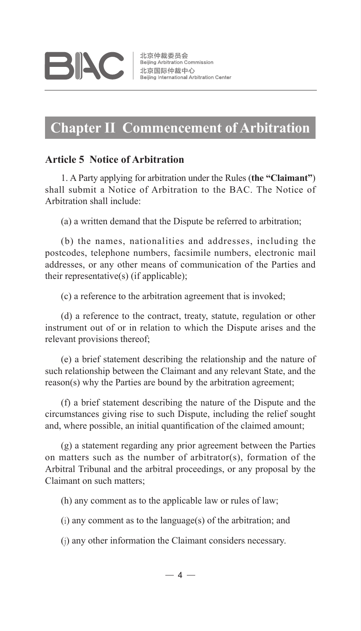### **Chapter II Commencement of Arbitration**

#### **Article 5 Notice of Arbitration**

1. A Party applying for arbitration under the Rules (**the "Claimant"**) shall submit a Notice of Arbitration to the BAC. The Notice of Arbitration shall include:

(a) a written demand that the Dispute be referred to arbitration;

(b) the names, nationalities and addresses, including the postcodes, telephone numbers, facsimile numbers, electronic mail addresses, or any other means of communication of the Parties and their representative(s) (if applicable);

(c) a reference to the arbitration agreement that is invoked;

(d) a reference to the contract, treaty, statute, regulation or other instrument out of or in relation to which the Dispute arises and the relevant provisions thereof;

(e) a brief statement describing the relationship and the nature of such relationship between the Claimant and any relevant State, and the reason(s) why the Parties are bound by the arbitration agreement;

(f) a brief statement describing the nature of the Dispute and the circumstances giving rise to such Dispute, including the relief sought and, where possible, an initial quantification of the claimed amount;

(g) a statement regarding any prior agreement between the Parties on matters such as the number of arbitrator(s), formation of the Arbitral Tribunal and the arbitral proceedings, or any proposal by the Claimant on such matters;

(h) any comment as to the applicable law or rules of law;

(i) any comment as to the language(s) of the arbitration; and

(j) any other information the Claimant considers necessary.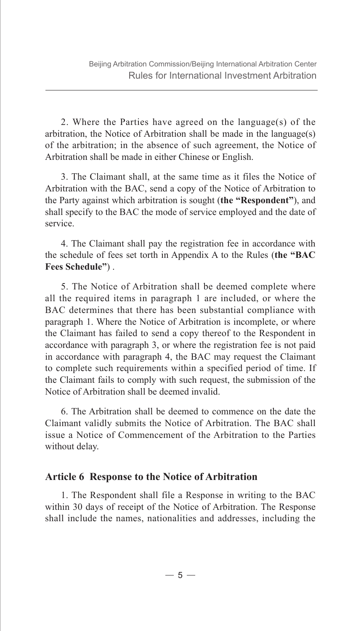2. Where the Parties have agreed on the language(s) of the arbitration, the Notice of Arbitration shall be made in the language(s) of the arbitration; in the absence of such agreement, the Notice of Arbitration shall be made in either Chinese or English.

3. The Claimant shall, at the same time as it files the Notice of Arbitration with the BAC, send a copy of the Notice of Arbitration to the Party against which arbitration is sought (**the "Respondent"**), and shall specify to the BAC the mode of service employed and the date of service.

4. The Claimant shall pay the registration fee in accordance with the schedule of fees set torth in Appendix A to the Rules (**the "BAC Fees Schedule"**) .

5. The Notice of Arbitration shall be deemed complete where all the required items in paragraph 1 are included, or where the BAC determines that there has been substantial compliance with paragraph 1. Where the Notice of Arbitration is incomplete, or where the Claimant has failed to send a copy thereof to the Respondent in accordance with paragraph 3, or where the registration fee is not paid in accordance with paragraph 4, the BAC may request the Claimant to complete such requirements within a specified period of time. If the Claimant fails to comply with such request, the submission of the Notice of Arbitration shall be deemed invalid.

6. The Arbitration shall be deemed to commence on the date the Claimant validly submits the Notice of Arbitration. The BAC shall issue a Notice of Commencement of the Arbitration to the Parties without delay.

#### **Article 6 Response to the Notice of Arbitration**

1. The Respondent shall file a Response in writing to the BAC within 30 days of receipt of the Notice of Arbitration. The Response shall include the names, nationalities and addresses, including the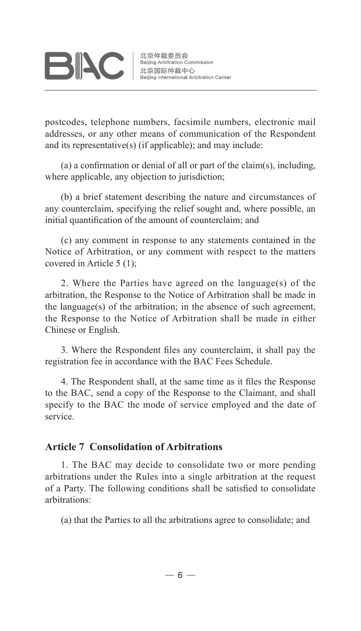# **BIAC**

postcodes, telephone numbers, facsimile numbers, electronic mail addresses, or any other means of communication of the Respondent and its representative(s) (if applicable); and may include:

(a) a confirmation or denial of all or part of the claim(s), including, where applicable, any objection to jurisdiction;

(b) a brief statement describing the nature and circumstances of any counterclaim, specifying the relief sought and, where possible, an initial quantification of the amount of counterclaim; and

(c) any comment in response to any statements contained in the Notice of Arbitration, or any comment with respect to the matters covered in Article 5 (1);

2. Where the Parties have agreed on the language(s) of the arbitration, the Response to the Notice of Arbitration shall be made in the language(s) of the arbitration; in the absence of such agreement, the Response to the Notice of Arbitration shall be made in either Chinese or English.

3. Where the Respondent files any counterclaim, it shall pay the registration fee in accordance with the BAC Fees Schedule.

4. The Respondent shall, at the same time as it files the Response to the BAC, send a copy of the Response to the Claimant, and shall specify to the BAC the mode of service employed and the date of service.

#### **Article 7 Consolidation of Arbitrations**

1. The BAC may decide to consolidate two or more pending arbitrations under the Rules into a single arbitration at the request of a Party. The following conditions shall be satisfied to consolidate arbitrations:

(a) that the Parties to all the arbitrations agree to consolidate; and

 $-6-$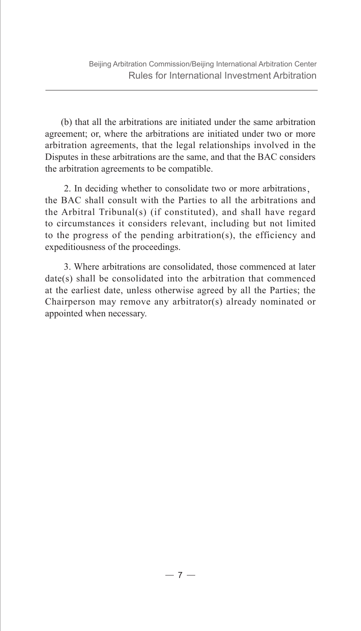(b) that all the arbitrations are initiated under the same arbitration agreement; or, where the arbitrations are initiated under two or more arbitration agreements, that the legal relationships involved in the Disputes in these arbitrations are the same, and that the BAC considers the arbitration agreements to be compatible.

 2. In deciding whether to consolidate two or more arbitrations, the BAC shall consult with the Parties to all the arbitrations and the Arbitral Tribunal(s) (if constituted), and shall have regard to circumstances it considers relevant, including but not limited to the progress of the pending arbitration(s), the efficiency and expeditiousness of the proceedings.

 3. Where arbitrations are consolidated, those commenced at later date(s) shall be consolidated into the arbitration that commenced at the earliest date, unless otherwise agreed by all the Parties; the Chairperson may remove any arbitrator(s) already nominated or appointed when necessary.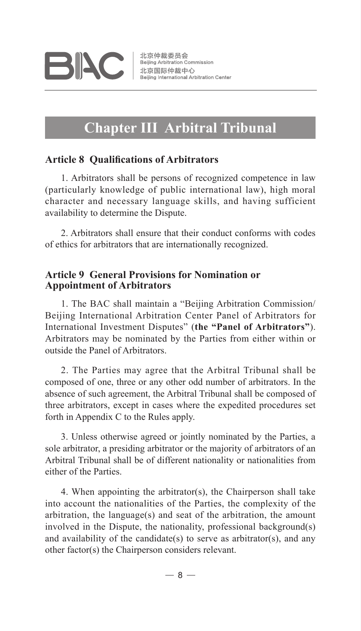

### **Chapter III Arbitral Tribunal**

#### **Article 8 Qualifications of Arbitrators**

1. Arbitrators shall be persons of recognized competence in law (particularly knowledge of public international law), high moral character and necessary language skills, and having sufficient availability to determine the Dispute.

2. Arbitrators shall ensure that their conduct conforms with codes of ethics for arbitrators that are internationally recognized.

#### **Article 9 General Provisions for Nomination or Appointment of Arbitrators**

1. The BAC shall maintain a "Beijing Arbitration Commission/ Beijing International Arbitration Center Panel of Arbitrators for International Investment Disputes" (**the "Panel of Arbitrators"**). Arbitrators may be nominated by the Parties from either within or outside the Panel of Arbitrators.

2. The Parties may agree that the Arbitral Tribunal shall be composed of one, three or any other odd number of arbitrators. In the absence of such agreement, the Arbitral Tribunal shall be composed of three arbitrators, except in cases where the expedited procedures set forth in Appendix C to the Rules apply.

3. Unless otherwise agreed or jointly nominated by the Parties, a sole arbitrator, a presiding arbitrator or the majority of arbitrators of an Arbitral Tribunal shall be of different nationality or nationalities from either of the Parties.

4. When appointing the arbitrator(s), the Chairperson shall take into account the nationalities of the Parties, the complexity of the arbitration, the language(s) and seat of the arbitration, the amount involved in the Dispute, the nationality, professional background(s) and availability of the candidate(s) to serve as arbitrator(s), and any other factor(s) the Chairperson considers relevant.

 $-8-$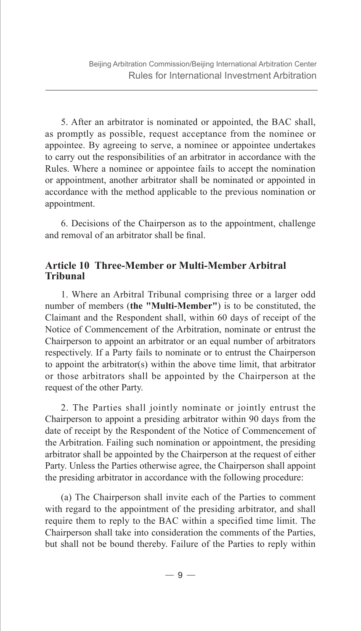5. After an arbitrator is nominated or appointed, the BAC shall, as promptly as possible, request acceptance from the nominee or appointee. By agreeing to serve, a nominee or appointee undertakes to carry out the responsibilities of an arbitrator in accordance with the Rules. Where a nominee or appointee fails to accept the nomination or appointment, another arbitrator shall be nominated or appointed in accordance with the method applicable to the previous nomination or appointment.

6. Decisions of the Chairperson as to the appointment, challenge and removal of an arbitrator shall be final.

#### **Article 10 Three-Member or Multi-Member Arbitral Tribunal**

1. Where an Arbitral Tribunal comprising three or a larger odd number of members (**the "Multi-Member"**) is to be constituted, the Claimant and the Respondent shall, within 60 days of receipt of the Notice of Commencement of the Arbitration, nominate or entrust the Chairperson to appoint an arbitrator or an equal number of arbitrators respectively. If a Party fails to nominate or to entrust the Chairperson to appoint the arbitrator(s) within the above time limit, that arbitrator or those arbitrators shall be appointed by the Chairperson at the request of the other Party.

2. The Parties shall jointly nominate or jointly entrust the Chairperson to appoint a presiding arbitrator within 90 days from the date of receipt by the Respondent of the Notice of Commencement of the Arbitration. Failing such nomination or appointment, the presiding arbitrator shall be appointed by the Chairperson at the request of either Party. Unless the Parties otherwise agree, the Chairperson shall appoint the presiding arbitrator in accordance with the following procedure:

(a) The Chairperson shall invite each of the Parties to comment with regard to the appointment of the presiding arbitrator, and shall require them to reply to the BAC within a specified time limit. The Chairperson shall take into consideration the comments of the Parties, but shall not be bound thereby. Failure of the Parties to reply within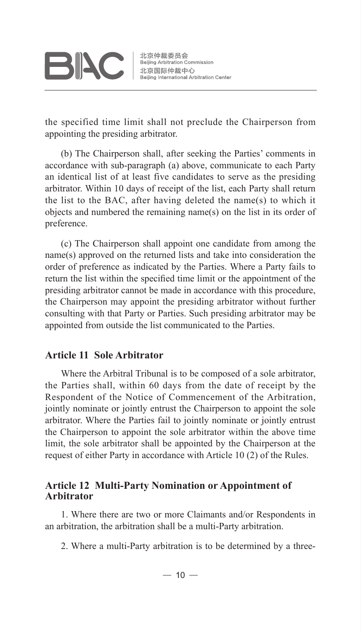# **BIAC**

the specified time limit shall not preclude the Chairperson from appointing the presiding arbitrator.

(b) The Chairperson shall, after seeking the Parties' comments in accordance with sub-paragraph (a) above, communicate to each Party an identical list of at least five candidates to serve as the presiding arbitrator. Within 10 days of receipt of the list, each Party shall return the list to the BAC, after having deleted the name(s) to which it objects and numbered the remaining name(s) on the list in its order of preference.

(c) The Chairperson shall appoint one candidate from among the name(s) approved on the returned lists and take into consideration the order of preference as indicated by the Parties. Where a Party fails to return the list within the specified time limit or the appointment of the presiding arbitrator cannot be made in accordance with this procedure, the Chairperson may appoint the presiding arbitrator without further consulting with that Party or Parties. Such presiding arbitrator may be appointed from outside the list communicated to the Parties.

#### **Article 11 Sole Arbitrator**

Where the Arbitral Tribunal is to be composed of a sole arbitrator, the Parties shall, within 60 days from the date of receipt by the Respondent of the Notice of Commencement of the Arbitration, jointly nominate or jointly entrust the Chairperson to appoint the sole arbitrator. Where the Parties fail to jointly nominate or jointly entrust the Chairperson to appoint the sole arbitrator within the above time limit, the sole arbitrator shall be appointed by the Chairperson at the request of either Party in accordance with Article 10 (2) of the Rules.

#### **Article 12 Multi-Party Nomination or Appointment of Arbitrator**

1. Where there are two or more Claimants and/or Respondents in an arbitration, the arbitration shall be a multi-Party arbitration.

2. Where a multi-Party arbitration is to be determined by a three-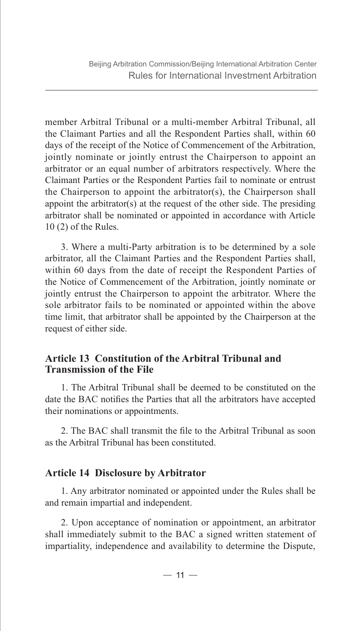member Arbitral Tribunal or a multi-member Arbitral Tribunal, all the Claimant Parties and all the Respondent Parties shall, within 60 days of the receipt of the Notice of Commencement of the Arbitration, jointly nominate or jointly entrust the Chairperson to appoint an arbitrator or an equal number of arbitrators respectively. Where the Claimant Parties or the Respondent Parties fail to nominate or entrust the Chairperson to appoint the arbitrator(s), the Chairperson shall appoint the arbitrator(s) at the request of the other side. The presiding arbitrator shall be nominated or appointed in accordance with Article 10 (2) of the Rules.

3. Where a multi-Party arbitration is to be determined by a sole arbitrator, all the Claimant Parties and the Respondent Parties shall, within 60 days from the date of receipt the Respondent Parties of the Notice of Commencement of the Arbitration, jointly nominate or jointly entrust the Chairperson to appoint the arbitrator. Where the sole arbitrator fails to be nominated or appointed within the above time limit, that arbitrator shall be appointed by the Chairperson at the request of either side.

#### **Article 13 Constitution of the Arbitral Tribunal and Transmission of the File**

1. The Arbitral Tribunal shall be deemed to be constituted on the date the BAC notifies the Parties that all the arbitrators have accepted their nominations or appointments.

2. The BAC shall transmit the file to the Arbitral Tribunal as soon as the Arbitral Tribunal has been constituted.

#### **Article 14 Disclosure by Arbitrator**

1. Any arbitrator nominated or appointed under the Rules shall be and remain impartial and independent.

2. Upon acceptance of nomination or appointment, an arbitrator shall immediately submit to the BAC a signed written statement of impartiality, independence and availability to determine the Dispute,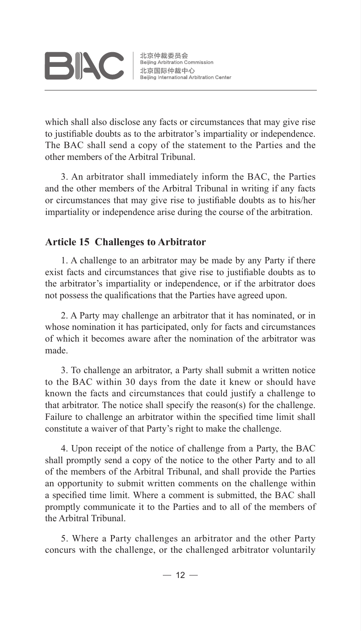

北京仲裁委员会 Beijing Arbitration Commission 北京国际仲裁中心 Beijing International Arbitration Center

which shall also disclose any facts or circumstances that may give rise to justifiable doubts as to the arbitrator's impartiality or independence. The BAC shall send a copy of the statement to the Parties and the other members of the Arbitral Tribunal.

3. An arbitrator shall immediately inform the BAC, the Parties and the other members of the Arbitral Tribunal in writing if any facts or circumstances that may give rise to justifiable doubts as to his/her impartiality or independence arise during the course of the arbitration.

#### **Article 15 Challenges to Arbitrator**

1. A challenge to an arbitrator may be made by any Party if there exist facts and circumstances that give rise to justifiable doubts as to the arbitrator's impartiality or independence, or if the arbitrator does not possess the qualifications that the Parties have agreed upon.

2. A Party may challenge an arbitrator that it has nominated, or in whose nomination it has participated, only for facts and circumstances of which it becomes aware after the nomination of the arbitrator was made.

3. To challenge an arbitrator, a Party shall submit a written notice to the BAC within 30 days from the date it knew or should have known the facts and circumstances that could justify a challenge to that arbitrator. The notice shall specify the reason(s) for the challenge. Failure to challenge an arbitrator within the specified time limit shall constitute a waiver of that Party's right to make the challenge.

4. Upon receipt of the notice of challenge from a Party, the BAC shall promptly send a copy of the notice to the other Party and to all of the members of the Arbitral Tribunal, and shall provide the Parties an opportunity to submit written comments on the challenge within a specified time limit. Where a comment is submitted, the BAC shall promptly communicate it to the Parties and to all of the members of the Arbitral Tribunal.

5. Where a Party challenges an arbitrator and the other Party concurs with the challenge, or the challenged arbitrator voluntarily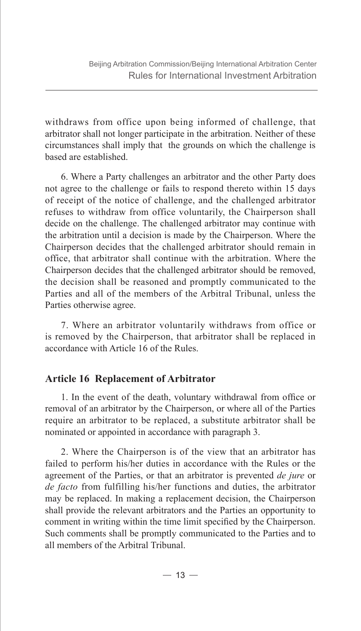withdraws from office upon being informed of challenge, that arbitrator shall not longer participate in the arbitration. Neither of these circumstances shall imply that the grounds on which the challenge is based are established.

6. Where a Party challenges an arbitrator and the other Party does not agree to the challenge or fails to respond thereto within 15 days of receipt of the notice of challenge, and the challenged arbitrator refuses to withdraw from office voluntarily, the Chairperson shall decide on the challenge. The challenged arbitrator may continue with the arbitration until a decision is made by the Chairperson. Where the Chairperson decides that the challenged arbitrator should remain in office, that arbitrator shall continue with the arbitration. Where the Chairperson decides that the challenged arbitrator should be removed, the decision shall be reasoned and promptly communicated to the Parties and all of the members of the Arbitral Tribunal, unless the Parties otherwise agree.

7. Where an arbitrator voluntarily withdraws from office or is removed by the Chairperson, that arbitrator shall be replaced in accordance with Article 16 of the Rules.

#### **Article 16 Replacement of Arbitrator**

1. In the event of the death, voluntary withdrawal from office or removal of an arbitrator by the Chairperson, or where all of the Parties require an arbitrator to be replaced, a substitute arbitrator shall be nominated or appointed in accordance with paragraph 3.

2. Where the Chairperson is of the view that an arbitrator has failed to perform his/her duties in accordance with the Rules or the agreement of the Parties, or that an arbitrator is prevented *de jure* or *de facto* from fulfilling his/her functions and duties, the arbitrator may be replaced. In making a replacement decision, the Chairperson shall provide the relevant arbitrators and the Parties an opportunity to comment in writing within the time limit specified by the Chairperson. Such comments shall be promptly communicated to the Parties and to all members of the Arbitral Tribunal.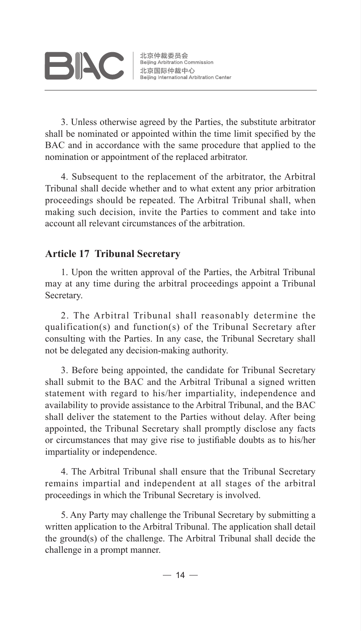3. Unless otherwise agreed by the Parties, the substitute arbitrator shall be nominated or appointed within the time limit specified by the BAC and in accordance with the same procedure that applied to the nomination or appointment of the replaced arbitrator.

4. Subsequent to the replacement of the arbitrator, the Arbitral Tribunal shall decide whether and to what extent any prior arbitration proceedings should be repeated. The Arbitral Tribunal shall, when making such decision, invite the Parties to comment and take into account all relevant circumstances of the arbitration.

#### **Article 17 Tribunal Secretary**

1. Upon the written approval of the Parties, the Arbitral Tribunal may at any time during the arbitral proceedings appoint a Tribunal Secretary.

2. The Arbitral Tribunal shall reasonably determine the qualification(s) and function(s) of the Tribunal Secretary after consulting with the Parties. In any case, the Tribunal Secretary shall not be delegated any decision-making authority.

3. Before being appointed, the candidate for Tribunal Secretary shall submit to the BAC and the Arbitral Tribunal a signed written statement with regard to his/her impartiality, independence and availability to provide assistance to the Arbitral Tribunal, and the BAC shall deliver the statement to the Parties without delay. After being appointed, the Tribunal Secretary shall promptly disclose any facts or circumstances that may give rise to justifiable doubts as to his/her impartiality or independence.

4. The Arbitral Tribunal shall ensure that the Tribunal Secretary remains impartial and independent at all stages of the arbitral proceedings in which the Tribunal Secretary is involved.

5. Any Party may challenge the Tribunal Secretary by submitting a written application to the Arbitral Tribunal. The application shall detail the ground(s) of the challenge. The Arbitral Tribunal shall decide the challenge in a prompt manner.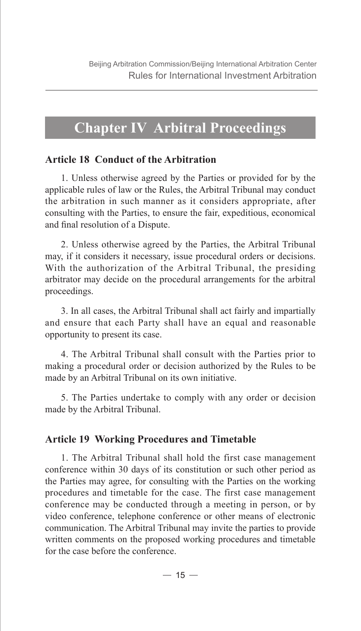### **Chapter IV Arbitral Proceedings**

#### **Article 18 Conduct of the Arbitration**

1. Unless otherwise agreed by the Parties or provided for by the applicable rules of law or the Rules, the Arbitral Tribunal may conduct the arbitration in such manner as it considers appropriate, after consulting with the Parties, to ensure the fair, expeditious, economical and final resolution of a Dispute.

2. Unless otherwise agreed by the Parties, the Arbitral Tribunal may, if it considers it necessary, issue procedural orders or decisions. With the authorization of the Arbitral Tribunal, the presiding arbitrator may decide on the procedural arrangements for the arbitral proceedings.

3. In all cases, the Arbitral Tribunal shall act fairly and impartially and ensure that each Party shall have an equal and reasonable opportunity to present its case.

4. The Arbitral Tribunal shall consult with the Parties prior to making a procedural order or decision authorized by the Rules to be made by an Arbitral Tribunal on its own initiative.

5. The Parties undertake to comply with any order or decision made by the Arbitral Tribunal.

#### **Article 19 Working Procedures and Timetable**

1. The Arbitral Tribunal shall hold the first case management conference within 30 days of its constitution or such other period as the Parties may agree, for consulting with the Parties on the working procedures and timetable for the case. The first case management conference may be conducted through a meeting in person, or by video conference, telephone conference or other means of electronic communication. The Arbitral Tribunal may invite the parties to provide written comments on the proposed working procedures and timetable for the case before the conference.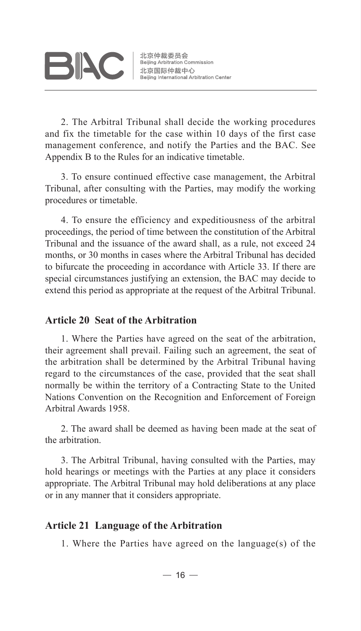北京仲裁委员会 Beijing Arbitration Commission 北京国际仲裁中心 Beijing International Arbitration Center

2. The Arbitral Tribunal shall decide the working procedures and fix the timetable for the case within 10 days of the first case management conference, and notify the Parties and the BAC. See Appendix B to the Rules for an indicative timetable.

3. To ensure continued effective case management, the Arbitral Tribunal, after consulting with the Parties, may modify the working procedures or timetable.

4. To ensure the efficiency and expeditiousness of the arbitral proceedings, the period of time between the constitution of the Arbitral Tribunal and the issuance of the award shall, as a rule, not exceed 24 months, or 30 months in cases where the Arbitral Tribunal has decided to bifurcate the proceeding in accordance with Article 33. If there are special circumstances justifying an extension, the BAC may decide to extend this period as appropriate at the request of the Arbitral Tribunal.

#### **Article 20 Seat of the Arbitration**

1. Where the Parties have agreed on the seat of the arbitration, their agreement shall prevail. Failing such an agreement, the seat of the arbitration shall be determined by the Arbitral Tribunal having regard to the circumstances of the case, provided that the seat shall normally be within the territory of a Contracting State to the United Nations Convention on the Recognition and Enforcement of Foreign Arbitral Awards 1958.

2. The award shall be deemed as having been made at the seat of the arbitration.

3. The Arbitral Tribunal, having consulted with the Parties, may hold hearings or meetings with the Parties at any place it considers appropriate. The Arbitral Tribunal may hold deliberations at any place or in any manner that it considers appropriate.

#### **Article 21 Language of the Arbitration**

1. Where the Parties have agreed on the language(s) of the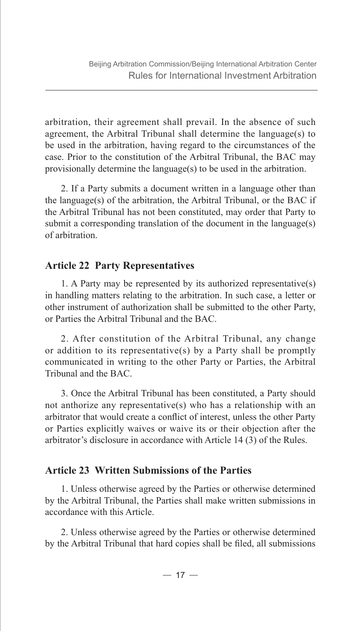arbitration, their agreement shall prevail. In the absence of such agreement, the Arbitral Tribunal shall determine the language(s) to be used in the arbitration, having regard to the circumstances of the case. Prior to the constitution of the Arbitral Tribunal, the BAC may provisionally determine the language(s) to be used in the arbitration.

2. If a Party submits a document written in a language other than the language(s) of the arbitration, the Arbitral Tribunal, or the BAC if the Arbitral Tribunal has not been constituted, may order that Party to submit a corresponding translation of the document in the language(s) of arbitration.

#### **Article 22 Party Representatives**

1. A Party may be represented by its authorized representative(s) in handling matters relating to the arbitration. In such case, a letter or other instrument of authorization shall be submitted to the other Party, or Parties the Arbitral Tribunal and the BAC.

2. After constitution of the Arbitral Tribunal, any change or addition to its representative(s) by a Party shall be promptly communicated in writing to the other Party or Parties, the Arbitral Tribunal and the BAC.

3. Once the Arbitral Tribunal has been constituted, a Party should not anthorize any representative(s) who has a relationship with an arbitrator that would create a conflict of interest, unless the other Party or Parties explicitly waives or waive its or their objection after the arbitrator's disclosure in accordance with Article 14 (3) of the Rules.

#### **Article 23 Written Submissions of the Parties**

1. Unless otherwise agreed by the Parties or otherwise determined by the Arbitral Tribunal, the Parties shall make written submissions in accordance with this Article.

2. Unless otherwise agreed by the Parties or otherwise determined by the Arbitral Tribunal that hard copies shall be filed, all submissions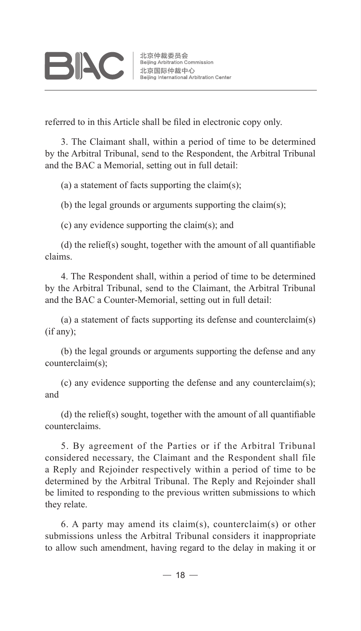referred to in this Article shall be filed in electronic copy only.

3. The Claimant shall, within a period of time to be determined by the Arbitral Tribunal, send to the Respondent, the Arbitral Tribunal and the BAC a Memorial, setting out in full detail:

(a) a statement of facts supporting the claim(s);

(b) the legal grounds or arguments supporting the claim(s);

(c) any evidence supporting the claim(s); and

(d) the relief(s) sought, together with the amount of all quantifiable claims.

4. The Respondent shall, within a period of time to be determined by the Arbitral Tribunal, send to the Claimant, the Arbitral Tribunal and the BAC a Counter-Memorial, setting out in full detail:

(a) a statement of facts supporting its defense and counterclaim(s) (if any);

(b) the legal grounds or arguments supporting the defense and any counterclaim(s);

(c) any evidence supporting the defense and any counterclaim(s); and

(d) the relief(s) sought, together with the amount of all quantifiable counterclaims.

5. By agreement of the Parties or if the Arbitral Tribunal considered necessary, the Claimant and the Respondent shall file a Reply and Rejoinder respectively within a period of time to be determined by the Arbitral Tribunal. The Reply and Rejoinder shall be limited to responding to the previous written submissions to which they relate.

6. A party may amend its claim(s), counterclaim(s) or other submissions unless the Arbitral Tribunal considers it inappropriate to allow such amendment, having regard to the delay in making it or

 $-18-$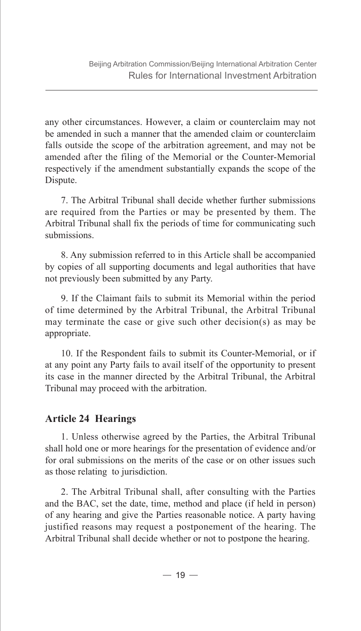any other circumstances. However, a claim or counterclaim may not be amended in such a manner that the amended claim or counterclaim falls outside the scope of the arbitration agreement, and may not be amended after the filing of the Memorial or the Counter-Memorial respectively if the amendment substantially expands the scope of the Dispute.

7. The Arbitral Tribunal shall decide whether further submissions are required from the Parties or may be presented by them. The Arbitral Tribunal shall fix the periods of time for communicating such submissions.

8. Any submission referred to in this Article shall be accompanied by copies of all supporting documents and legal authorities that have not previously been submitted by any Party.

9. If the Claimant fails to submit its Memorial within the period of time determined by the Arbitral Tribunal, the Arbitral Tribunal may terminate the case or give such other decision(s) as may be appropriate.

10. If the Respondent fails to submit its Counter-Memorial, or if at any point any Party fails to avail itself of the opportunity to present its case in the manner directed by the Arbitral Tribunal, the Arbitral Tribunal may proceed with the arbitration.

#### **Article 24 Hearings**

1. Unless otherwise agreed by the Parties, the Arbitral Tribunal shall hold one or more hearings for the presentation of evidence and/or for oral submissions on the merits of the case or on other issues such as those relating to jurisdiction.

2. The Arbitral Tribunal shall, after consulting with the Parties and the BAC, set the date, time, method and place (if held in person) of any hearing and give the Parties reasonable notice. A party having justified reasons may request a postponement of the hearing. The Arbitral Tribunal shall decide whether or not to postpone the hearing.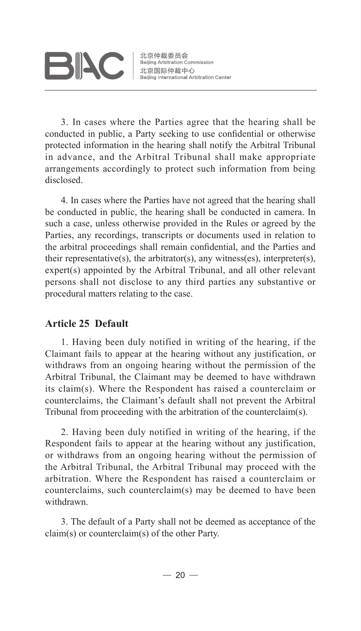# **BIAC**

北京仲裁委员会 Beijing Arbitration Commission 北京国际仲裁中心 Beijing International Arbitration Center

3. In cases where the Parties agree that the hearing shall be conducted in public, a Party seeking to use confidential or otherwise protected information in the hearing shall notify the Arbitral Tribunal in advance, and the Arbitral Tribunal shall make appropriate arrangements accordingly to protect such information from being disclosed.

4. In cases where the Parties have not agreed that the hearing shall be conducted in public, the hearing shall be conducted in camera. In such a case, unless otherwise provided in the Rules or agreed by the Parties, any recordings, transcripts or documents used in relation to the arbitral proceedings shall remain confidential, and the Parties and their representative(s), the arbitrator(s), any witness(es), interpreter(s), expert(s) appointed by the Arbitral Tribunal, and all other relevant persons shall not disclose to any third parties any substantive or procedural matters relating to the case.

#### **Article 25 Default**

1. Having been duly notified in writing of the hearing, if the Claimant fails to appear at the hearing without any justification, or withdraws from an ongoing hearing without the permission of the Arbitral Tribunal, the Claimant may be deemed to have withdrawn its claim(s). Where the Respondent has raised a counterclaim or counterclaims, the Claimant's default shall not prevent the Arbitral Tribunal from proceeding with the arbitration of the counterclaim(s).

2. Having been duly notified in writing of the hearing, if the Respondent fails to appear at the hearing without any justification, or withdraws from an ongoing hearing without the permission of the Arbitral Tribunal, the Arbitral Tribunal may proceed with the arbitration. Where the Respondent has raised a counterclaim or counterclaims, such counterclaim(s) may be deemed to have been withdrawn.

3. The default of a Party shall not be deemed as acceptance of the claim(s) or counterclaim(s) of the other Party.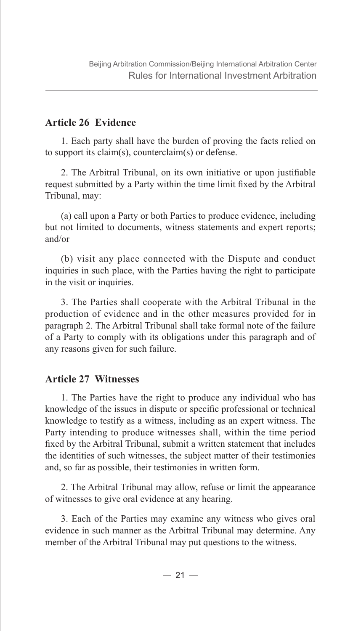#### **Article 26 Evidence**

1. Each party shall have the burden of proving the facts relied on to support its claim(s), counterclaim(s) or defense.

2. The Arbitral Tribunal, on its own initiative or upon justifiable request submitted by a Party within the time limit fixed by the Arbitral Tribunal, may:

(a) call upon a Party or both Parties to produce evidence, including but not limited to documents, witness statements and expert reports; and/or

(b) visit any place connected with the Dispute and conduct inquiries in such place, with the Parties having the right to participate in the visit or inquiries.

3. The Parties shall cooperate with the Arbitral Tribunal in the production of evidence and in the other measures provided for in paragraph 2. The Arbitral Tribunal shall take formal note of the failure of a Party to comply with its obligations under this paragraph and of any reasons given for such failure.

#### **Article 27 Witnesses**

1. The Parties have the right to produce any individual who has knowledge of the issues in dispute or specific professional or technical knowledge to testify as a witness, including as an expert witness. The Party intending to produce witnesses shall, within the time period fixed by the Arbitral Tribunal, submit a written statement that includes the identities of such witnesses, the subject matter of their testimonies and, so far as possible, their testimonies in written form.

2. The Arbitral Tribunal may allow, refuse or limit the appearance of witnesses to give oral evidence at any hearing.

3. Each of the Parties may examine any witness who gives oral evidence in such manner as the Arbitral Tribunal may determine. Any member of the Arbitral Tribunal may put questions to the witness.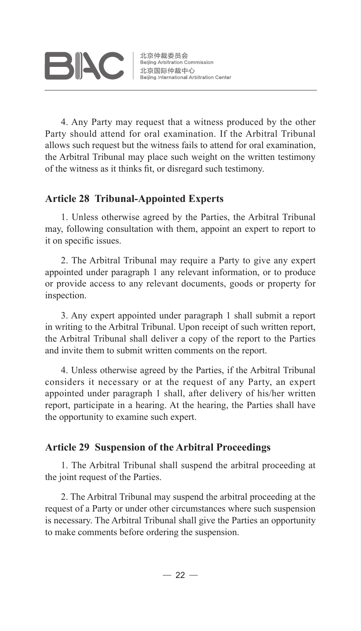

北京仲裁委员会 Beijing Arbitration Commission ……<br>北京国际仲裁中心 Beijing International Arbitration Center

4. Any Party may request that a witness produced by the other Party should attend for oral examination. If the Arbitral Tribunal allows such request but the witness fails to attend for oral examination, the Arbitral Tribunal may place such weight on the written testimony of the witness as it thinks fit, or disregard such testimony.

#### **Article 28 Tribunal-Appointed Experts**

1. Unless otherwise agreed by the Parties, the Arbitral Tribunal may, following consultation with them, appoint an expert to report to it on specific issues.

2. The Arbitral Tribunal may require a Party to give any expert appointed under paragraph 1 any relevant information, or to produce or provide access to any relevant documents, goods or property for inspection.

3. Any expert appointed under paragraph 1 shall submit a report in writing to the Arbitral Tribunal. Upon receipt of such written report, the Arbitral Tribunal shall deliver a copy of the report to the Parties and invite them to submit written comments on the report.

4. Unless otherwise agreed by the Parties, if the Arbitral Tribunal considers it necessary or at the request of any Party, an expert appointed under paragraph 1 shall, after delivery of his/her written report, participate in a hearing. At the hearing, the Parties shall have the opportunity to examine such expert.

#### **Article 29 Suspension of the Arbitral Proceedings**

1. The Arbitral Tribunal shall suspend the arbitral proceeding at the joint request of the Parties.

2. The Arbitral Tribunal may suspend the arbitral proceeding at the request of a Party or under other circumstances where such suspension is necessary. The Arbitral Tribunal shall give the Parties an opportunity to make comments before ordering the suspension.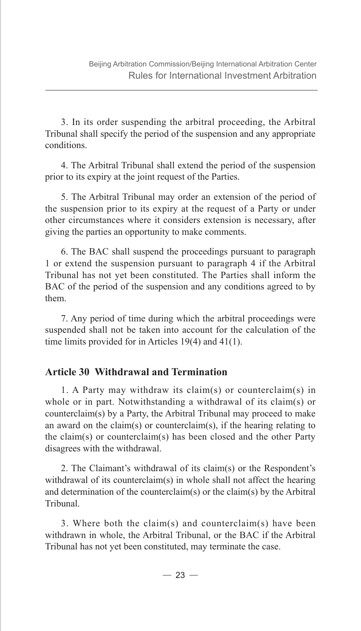3. In its order suspending the arbitral proceeding, the Arbitral Tribunal shall specify the period of the suspension and any appropriate conditions.

4. The Arbitral Tribunal shall extend the period of the suspension prior to its expiry at the joint request of the Parties.

5. The Arbitral Tribunal may order an extension of the period of the suspension prior to its expiry at the request of a Party or under other circumstances where it considers extension is necessary, after giving the parties an opportunity to make comments.

6. The BAC shall suspend the proceedings pursuant to paragraph 1 or extend the suspension pursuant to paragraph 4 if the Arbitral Tribunal has not yet been constituted. The Parties shall inform the BAC of the period of the suspension and any conditions agreed to by them.

7. Any period of time during which the arbitral proceedings were suspended shall not be taken into account for the calculation of the time limits provided for in Articles 19(4) and 41(1).

#### **Article 30 Withdrawal and Termination**

1. A Party may withdraw its claim(s) or counterclaim(s) in whole or in part. Notwithstanding a withdrawal of its claim(s) or counterclaim(s) by a Party, the Arbitral Tribunal may proceed to make an award on the claim(s) or counterclaim(s), if the hearing relating to the claim(s) or counterclaim(s) has been closed and the other Party disagrees with the withdrawal.

2. The Claimant's withdrawal of its claim(s) or the Respondent's withdrawal of its counterclaim(s) in whole shall not affect the hearing and determination of the counterclaim(s) or the claim(s) by the Arbitral Tribunal.

3. Where both the claim(s) and counterclaim(s) have been withdrawn in whole, the Arbitral Tribunal, or the BAC if the Arbitral Tribunal has not yet been constituted, may terminate the case.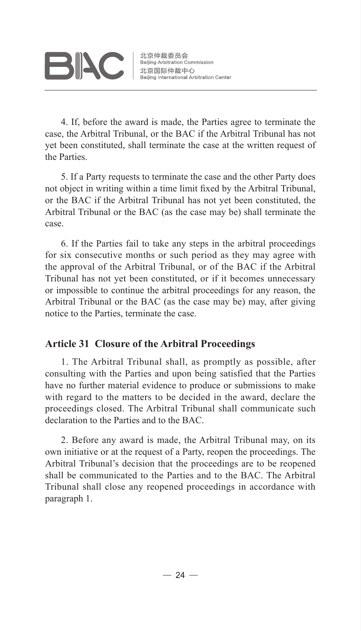4. If, before the award is made, the Parties agree to terminate the case, the Arbitral Tribunal, or the BAC if the Arbitral Tribunal has not yet been constituted, shall terminate the case at the written request of the Parties.

5. If a Party requests to terminate the case and the other Party does not object in writing within a time limit fixed by the Arbitral Tribunal, or the BAC if the Arbitral Tribunal has not yet been constituted, the Arbitral Tribunal or the BAC (as the case may be) shall terminate the case.

6. If the Parties fail to take any steps in the arbitral proceedings for six consecutive months or such period as they may agree with the approval of the Arbitral Tribunal, or of the BAC if the Arbitral Tribunal has not yet been constituted, or if it becomes unnecessary or impossible to continue the arbitral proceedings for any reason, the Arbitral Tribunal or the BAC (as the case may be) may, after giving notice to the Parties, terminate the case.

#### **Article 31 Closure of the Arbitral Proceedings**

1. The Arbitral Tribunal shall, as promptly as possible, after consulting with the Parties and upon being satisfied that the Parties have no further material evidence to produce or submissions to make with regard to the matters to be decided in the award, declare the proceedings closed. The Arbitral Tribunal shall communicate such declaration to the Parties and to the BAC.

2. Before any award is made, the Arbitral Tribunal may, on its own initiative or at the request of a Party, reopen the proceedings. The Arbitral Tribunal's decision that the proceedings are to be reopened shall be communicated to the Parties and to the BAC. The Arbitral Tribunal shall close any reopened proceedings in accordance with paragraph 1.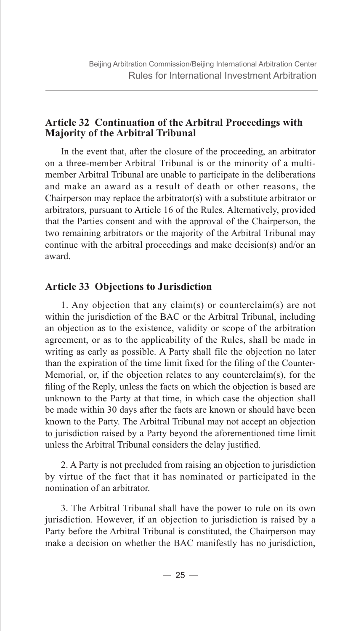#### **Article 32 Continuation of the Arbitral Proceedings with Majority of the Arbitral Tribunal**

In the event that, after the closure of the proceeding, an arbitrator on a three-member Arbitral Tribunal is or the minority of a multimember Arbitral Tribunal are unable to participate in the deliberations and make an award as a result of death or other reasons, the Chairperson may replace the arbitrator(s) with a substitute arbitrator or arbitrators, pursuant to Article 16 of the Rules. Alternatively, provided that the Parties consent and with the approval of the Chairperson, the two remaining arbitrators or the majority of the Arbitral Tribunal may continue with the arbitral proceedings and make decision(s) and/or an award.

#### **Article 33 Objections to Jurisdiction**

1. Any objection that any claim(s) or counterclaim(s) are not within the jurisdiction of the BAC or the Arbitral Tribunal, including an objection as to the existence, validity or scope of the arbitration agreement, or as to the applicability of the Rules, shall be made in writing as early as possible. A Party shall file the objection no later than the expiration of the time limit fixed for the filing of the Counter-Memorial, or, if the objection relates to any counterclaim(s), for the filing of the Reply, unless the facts on which the objection is based are unknown to the Party at that time, in which case the objection shall be made within 30 days after the facts are known or should have been known to the Party. The Arbitral Tribunal may not accept an objection to jurisdiction raised by a Party beyond the aforementioned time limit unless the Arbitral Tribunal considers the delay justified.

2. A Party is not precluded from raising an objection to jurisdiction by virtue of the fact that it has nominated or participated in the nomination of an arbitrator.

3. The Arbitral Tribunal shall have the power to rule on its own jurisdiction. However, if an objection to jurisdiction is raised by a Party before the Arbitral Tribunal is constituted, the Chairperson may make a decision on whether the BAC manifestly has no jurisdiction,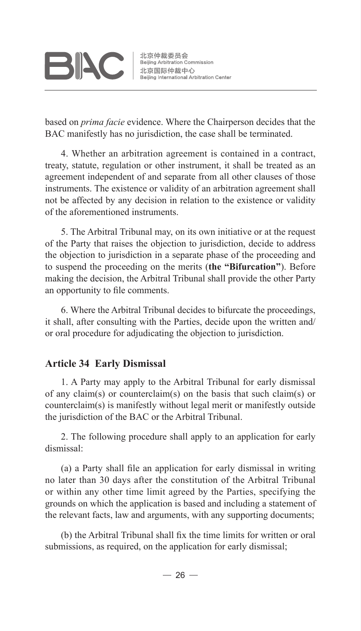**BIAC** 

北京仲裁委员会 Beijing Arbitration Commission 北京国际仲裁中心 Beijing International Arbitration Center

based on *prima facie* evidence. Where the Chairperson decides that the BAC manifestly has no jurisdiction, the case shall be terminated.

4. Whether an arbitration agreement is contained in a contract, treaty, statute, regulation or other instrument, it shall be treated as an agreement independent of and separate from all other clauses of those instruments. The existence or validity of an arbitration agreement shall not be affected by any decision in relation to the existence or validity of the aforementioned instruments.

5. The Arbitral Tribunal may, on its own initiative or at the request of the Party that raises the objection to jurisdiction, decide to address the objection to jurisdiction in a separate phase of the proceeding and to suspend the proceeding on the merits (**the "Bifurcation"**). Before making the decision, the Arbitral Tribunal shall provide the other Party an opportunity to file comments.

6. Where the Arbitral Tribunal decides to bifurcate the proceedings, it shall, after consulting with the Parties, decide upon the written and/ or oral procedure for adjudicating the objection to jurisdiction.

#### **Article 34 Early Dismissal**

1. A Party may apply to the Arbitral Tribunal for early dismissal of any claim(s) or counterclaim(s) on the basis that such claim(s) or counterclaim(s) is manifestly without legal merit or manifestly outside the jurisdiction of the BAC or the Arbitral Tribunal.

2. The following procedure shall apply to an application for early dismissal:

(a) a Party shall file an application for early dismissal in writing no later than 30 days after the constitution of the Arbitral Tribunal or within any other time limit agreed by the Parties, specifying the grounds on which the application is based and including a statement of the relevant facts, law and arguments, with any supporting documents;

(b) the Arbitral Tribunal shall fix the time limits for written or oral submissions, as required, on the application for early dismissal;

 $-26-$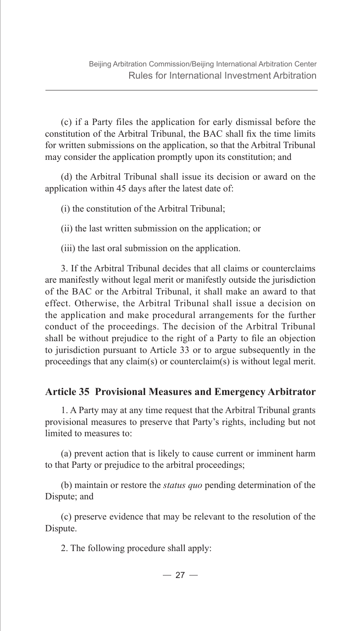(c) if a Party files the application for early dismissal before the constitution of the Arbitral Tribunal, the BAC shall fix the time limits for written submissions on the application, so that the Arbitral Tribunal may consider the application promptly upon its constitution; and

(d) the Arbitral Tribunal shall issue its decision or award on the application within 45 days after the latest date of:

(i) the constitution of the Arbitral Tribunal;

(ii) the last written submission on the application; or

(iii) the last oral submission on the application.

3. If the Arbitral Tribunal decides that all claims or counterclaims are manifestly without legal merit or manifestly outside the jurisdiction of the BAC or the Arbitral Tribunal, it shall make an award to that effect. Otherwise, the Arbitral Tribunal shall issue a decision on the application and make procedural arrangements for the further conduct of the proceedings. The decision of the Arbitral Tribunal shall be without prejudice to the right of a Party to file an objection to jurisdiction pursuant to Article 33 or to argue subsequently in the proceedings that any claim(s) or counterclaim(s) is without legal merit.

#### **Article 35 Provisional Measures and Emergency Arbitrator**

1. A Party may at any time request that the Arbitral Tribunal grants provisional measures to preserve that Party's rights, including but not limited to measures to:

(a) prevent action that is likely to cause current or imminent harm to that Party or prejudice to the arbitral proceedings;

(b) maintain or restore the *status quo* pending determination of the Dispute; and

(c) preserve evidence that may be relevant to the resolution of the Dispute.

2. The following procedure shall apply: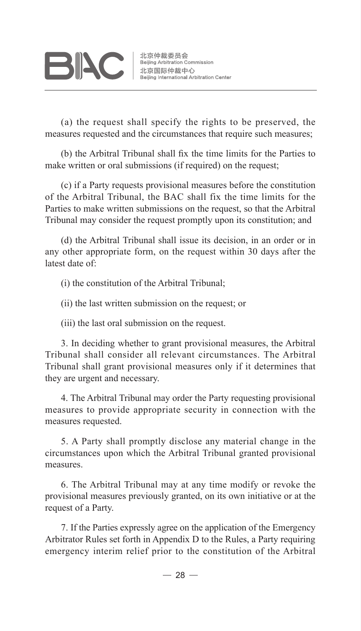# **BIAC**

(a) the request shall specify the rights to be preserved, the measures requested and the circumstances that require such measures;

(b) the Arbitral Tribunal shall fix the time limits for the Parties to make written or oral submissions (if required) on the request;

(c) if a Party requests provisional measures before the constitution of the Arbitral Tribunal, the BAC shall fix the time limits for the Parties to make written submissions on the request, so that the Arbitral Tribunal may consider the request promptly upon its constitution; and

(d) the Arbitral Tribunal shall issue its decision, in an order or in any other appropriate form, on the request within 30 days after the latest date of:

(i) the constitution of the Arbitral Tribunal;

(ii) the last written submission on the request; or

(iii) the last oral submission on the request.

3. In deciding whether to grant provisional measures, the Arbitral Tribunal shall consider all relevant circumstances. The Arbitral Tribunal shall grant provisional measures only if it determines that they are urgent and necessary.

4. The Arbitral Tribunal may order the Party requesting provisional measures to provide appropriate security in connection with the measures requested.

5. A Party shall promptly disclose any material change in the circumstances upon which the Arbitral Tribunal granted provisional measures.

6. The Arbitral Tribunal may at any time modify or revoke the provisional measures previously granted, on its own initiative or at the request of a Party.

7. If the Parties expressly agree on the application of the Emergency Arbitrator Rules set forth in Appendix D to the Rules, a Party requiring emergency interim relief prior to the constitution of the Arbitral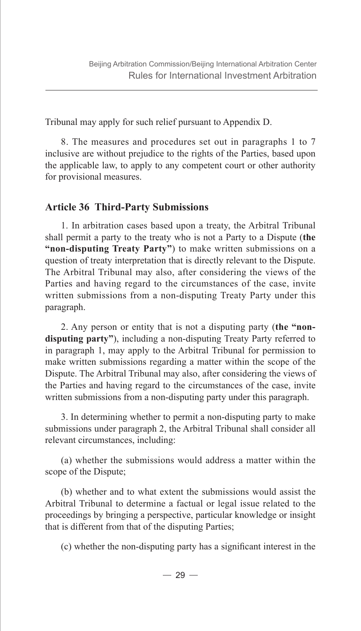Tribunal may apply for such relief pursuant to Appendix D.

8. The measures and procedures set out in paragraphs 1 to 7 inclusive are without prejudice to the rights of the Parties, based upon the applicable law, to apply to any competent court or other authority for provisional measures.

#### **Article 36 Third-Party Submissions**

1. In arbitration cases based upon a treaty, the Arbitral Tribunal shall permit a party to the treaty who is not a Party to a Dispute (**the "non-disputing Treaty Party"**) to make written submissions on a question of treaty interpretation that is directly relevant to the Dispute. The Arbitral Tribunal may also, after considering the views of the Parties and having regard to the circumstances of the case, invite written submissions from a non-disputing Treaty Party under this paragraph.

2. Any person or entity that is not a disputing party (**the "nondisputing party"**), including a non-disputing Treaty Party referred to in paragraph 1, may apply to the Arbitral Tribunal for permission to make written submissions regarding a matter within the scope of the Dispute. The Arbitral Tribunal may also, after considering the views of the Parties and having regard to the circumstances of the case, invite written submissions from a non-disputing party under this paragraph.

3. In determining whether to permit a non-disputing party to make submissions under paragraph 2, the Arbitral Tribunal shall consider all relevant circumstances, including:

(a) whether the submissions would address a matter within the scope of the Dispute;

(b) whether and to what extent the submissions would assist the Arbitral Tribunal to determine a factual or legal issue related to the proceedings by bringing a perspective, particular knowledge or insight that is different from that of the disputing Parties;

(c) whether the non-disputing party has a significant interest in the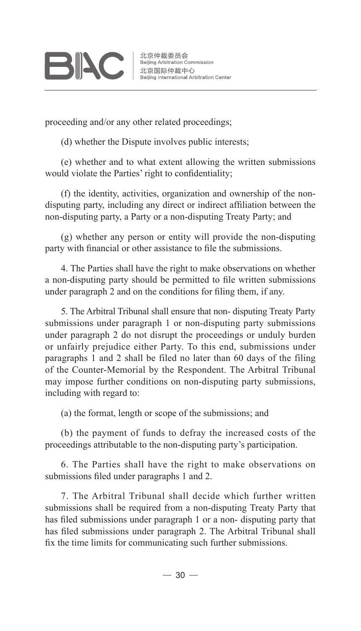proceeding and/or any other related proceedings;

(d) whether the Dispute involves public interests;

(e) whether and to what extent allowing the written submissions would violate the Parties' right to confidentiality;

(f) the identity, activities, organization and ownership of the nondisputing party, including any direct or indirect affiliation between the non-disputing party, a Party or a non-disputing Treaty Party; and

(g) whether any person or entity will provide the non-disputing party with financial or other assistance to file the submissions.

4. The Parties shall have the right to make observations on whether a non-disputing party should be permitted to file written submissions under paragraph 2 and on the conditions for filing them, if any.

5. The Arbitral Tribunal shall ensure that non- disputing Treaty Party submissions under paragraph 1 or non-disputing party submissions under paragraph 2 do not disrupt the proceedings or unduly burden or unfairly prejudice either Party. To this end, submissions under paragraphs 1 and 2 shall be filed no later than 60 days of the filing of the Counter-Memorial by the Respondent. The Arbitral Tribunal may impose further conditions on non-disputing party submissions, including with regard to:

(a) the format, length or scope of the submissions; and

(b) the payment of funds to defray the increased costs of the proceedings attributable to the non-disputing party's participation.

6. The Parties shall have the right to make observations on submissions filed under paragraphs 1 and 2.

7. The Arbitral Tribunal shall decide which further written submissions shall be required from a non-disputing Treaty Party that has filed submissions under paragraph 1 or a non- disputing party that has filed submissions under paragraph 2. The Arbitral Tribunal shall fix the time limits for communicating such further submissions.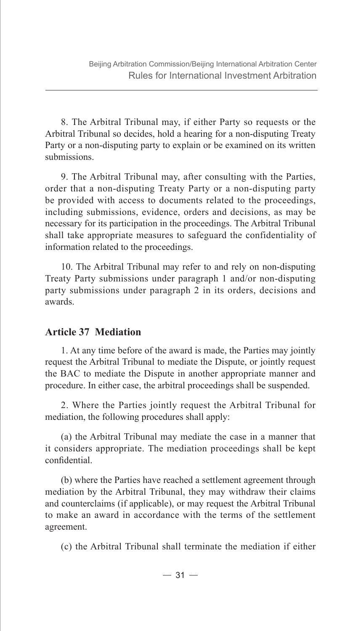8. The Arbitral Tribunal may, if either Party so requests or the Arbitral Tribunal so decides, hold a hearing for a non-disputing Treaty Party or a non-disputing party to explain or be examined on its written submissions.

9. The Arbitral Tribunal may, after consulting with the Parties, order that a non-disputing Treaty Party or a non-disputing party be provided with access to documents related to the proceedings, including submissions, evidence, orders and decisions, as may be necessary for its participation in the proceedings. The Arbitral Tribunal shall take appropriate measures to safeguard the confidentiality of information related to the proceedings.

10. The Arbitral Tribunal may refer to and rely on non-disputing Treaty Party submissions under paragraph 1 and/or non-disputing party submissions under paragraph 2 in its orders, decisions and awards.

#### **Article 37 Mediation**

1. At any time before of the award is made, the Parties may jointly request the Arbitral Tribunal to mediate the Dispute, or jointly request the BAC to mediate the Dispute in another appropriate manner and procedure. In either case, the arbitral proceedings shall be suspended.

2. Where the Parties jointly request the Arbitral Tribunal for mediation, the following procedures shall apply:

(a) the Arbitral Tribunal may mediate the case in a manner that it considers appropriate. The mediation proceedings shall be kept confidential.

(b) where the Parties have reached a settlement agreement through mediation by the Arbitral Tribunal, they may withdraw their claims and counterclaims (if applicable), or may request the Arbitral Tribunal to make an award in accordance with the terms of the settlement agreement.

(c) the Arbitral Tribunal shall terminate the mediation if either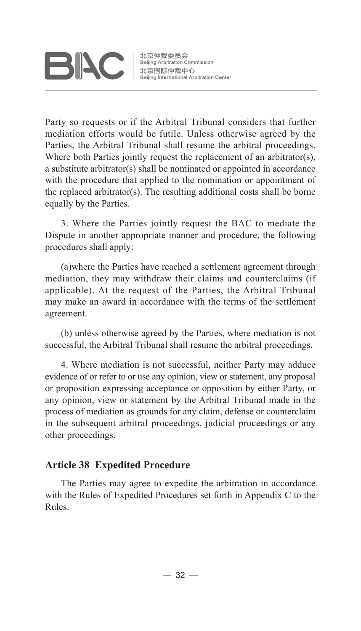

北京仲裁委员会 Beijing Arbitration Commission 北京国际仲裁中心 Beijing International Arbitration Center

Party so requests or if the Arbitral Tribunal considers that further mediation efforts would be futile. Unless otherwise agreed by the Parties, the Arbitral Tribunal shall resume the arbitral proceedings. Where both Parties jointly request the replacement of an arbitrator(s). a substitute arbitrator(s) shall be nominated or appointed in accordance with the procedure that applied to the nomination or appointment of the replaced arbitrator(s). The resulting additional costs shall be borne equally by the Parties.

3. Where the Parties jointly request the BAC to mediate the Dispute in another appropriate manner and procedure, the following procedures shall apply:

(a)where the Parties have reached a settlement agreement through mediation, they may withdraw their claims and counterclaims (if applicable). At the request of the Parties, the Arbitral Tribunal may make an award in accordance with the terms of the settlement agreement.

(b) unless otherwise agreed by the Parties, where mediation is not successful, the Arbitral Tribunal shall resume the arbitral proceedings.

4. Where mediation is not successful, neither Party may adduce evidence of or refer to or use any opinion, view or statement, any proposal or proposition expressing acceptance or opposition by either Party, or any opinion, view or statement by the Arbitral Tribunal made in the process of mediation as grounds for any claim, defense or counterclaim in the subsequent arbitral proceedings, judicial proceedings or any other proceedings.

#### **Article 38 Expedited Procedure**

The Parties may agree to expedite the arbitration in accordance with the Rules of Expedited Procedures set forth in Appendix C to the Rules.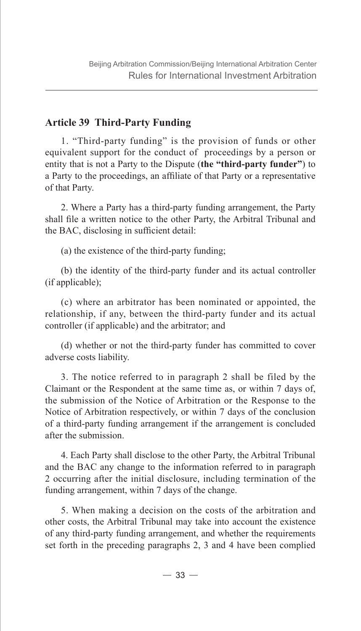#### **Article 39 Third-Party Funding**

1. "Third-party funding" is the provision of funds or other equivalent support for the conduct of proceedings by a person or entity that is not a Party to the Dispute (**the "third-party funder"**) to a Party to the proceedings, an affiliate of that Party or a representative of that Party.

2. Where a Party has a third-party funding arrangement, the Party shall file a written notice to the other Party, the Arbitral Tribunal and the BAC, disclosing in sufficient detail:

(a) the existence of the third-party funding;

(b) the identity of the third-party funder and its actual controller (if applicable);

(c) where an arbitrator has been nominated or appointed, the relationship, if any, between the third-party funder and its actual controller (if applicable) and the arbitrator; and

(d) whether or not the third-party funder has committed to cover adverse costs liability.

3. The notice referred to in paragraph 2 shall be filed by the Claimant or the Respondent at the same time as, or within 7 days of, the submission of the Notice of Arbitration or the Response to the Notice of Arbitration respectively, or within 7 days of the conclusion of a third-party funding arrangement if the arrangement is concluded after the submission.

4. Each Party shall disclose to the other Party, the Arbitral Tribunal and the BAC any change to the information referred to in paragraph 2 occurring after the initial disclosure, including termination of the funding arrangement, within 7 days of the change.

5. When making a decision on the costs of the arbitration and other costs, the Arbitral Tribunal may take into account the existence of any third-party funding arrangement, and whether the requirements set forth in the preceding paragraphs 2, 3 and 4 have been complied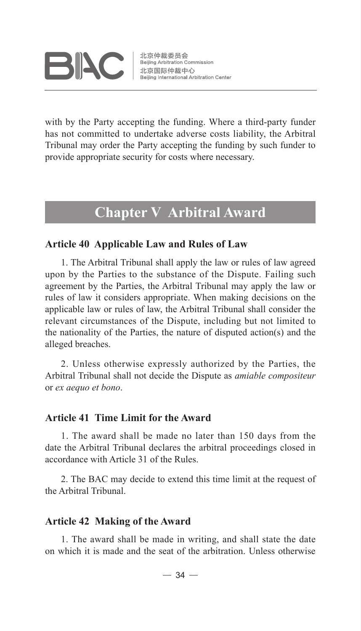

北京仲裁委员会 Beijing Arbitration Commission 北京国际仲裁中心 Beijing International Arbitration Center

with by the Party accepting the funding. Where a third-party funder has not committed to undertake adverse costs liability, the Arbitral Tribunal may order the Party accepting the funding by such funder to provide appropriate security for costs where necessary.

### **Chapter V Arbitral Award**

#### **Article 40 Applicable Law and Rules of Law**

1. The Arbitral Tribunal shall apply the law or rules of law agreed upon by the Parties to the substance of the Dispute. Failing such agreement by the Parties, the Arbitral Tribunal may apply the law or rules of law it considers appropriate. When making decisions on the applicable law or rules of law, the Arbitral Tribunal shall consider the relevant circumstances of the Dispute, including but not limited to the nationality of the Parties, the nature of disputed action(s) and the alleged breaches.

2. Unless otherwise expressly authorized by the Parties, the Arbitral Tribunal shall not decide the Dispute as *amiable compositeur*  or *ex aequo et bono*.

#### **Article 41 Time Limit for the Award**

1. The award shall be made no later than 150 days from the date the Arbitral Tribunal declares the arbitral proceedings closed in accordance with Article 31 of the Rules.

2. The BAC may decide to extend this time limit at the request of the Arbitral Tribunal.

#### **Article 42 Making of the Award**

1. The award shall be made in writing, and shall state the date on which it is made and the seat of the arbitration. Unless otherwise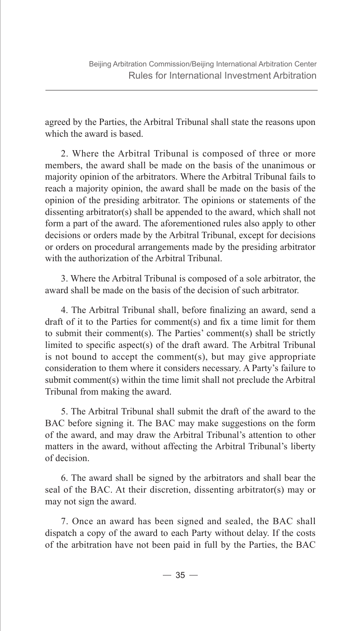agreed by the Parties, the Arbitral Tribunal shall state the reasons upon which the award is based.

2. Where the Arbitral Tribunal is composed of three or more members, the award shall be made on the basis of the unanimous or majority opinion of the arbitrators. Where the Arbitral Tribunal fails to reach a majority opinion, the award shall be made on the basis of the opinion of the presiding arbitrator. The opinions or statements of the dissenting arbitrator(s) shall be appended to the award, which shall not form a part of the award. The aforementioned rules also apply to other decisions or orders made by the Arbitral Tribunal, except for decisions or orders on procedural arrangements made by the presiding arbitrator with the authorization of the Arbitral Tribunal.

3. Where the Arbitral Tribunal is composed of a sole arbitrator, the award shall be made on the basis of the decision of such arbitrator.

4. The Arbitral Tribunal shall, before finalizing an award, send a draft of it to the Parties for comment(s) and fix a time limit for them to submit their comment(s). The Parties' comment(s) shall be strictly limited to specific aspect(s) of the draft award. The Arbitral Tribunal is not bound to accept the comment(s), but may give appropriate consideration to them where it considers necessary. A Party's failure to submit comment(s) within the time limit shall not preclude the Arbitral Tribunal from making the award.

5. The Arbitral Tribunal shall submit the draft of the award to the BAC before signing it. The BAC may make suggestions on the form of the award, and may draw the Arbitral Tribunal's attention to other matters in the award, without affecting the Arbitral Tribunal's liberty of decision.

6. The award shall be signed by the arbitrators and shall bear the seal of the BAC. At their discretion, dissenting arbitrator(s) may or may not sign the award.

7. Once an award has been signed and sealed, the BAC shall dispatch a copy of the award to each Party without delay. If the costs of the arbitration have not been paid in full by the Parties, the BAC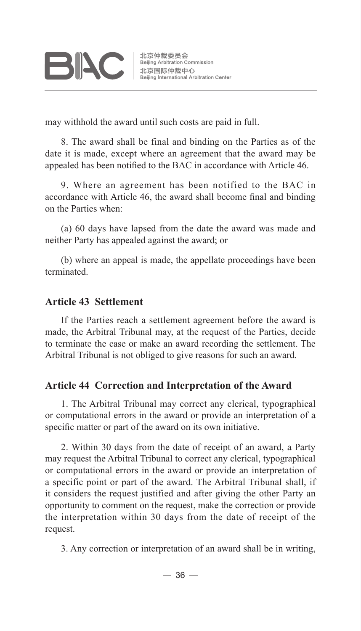may withhold the award until such costs are paid in full.

8. The award shall be final and binding on the Parties as of the date it is made, except where an agreement that the award may be appealed has been notified to the BAC in accordance with Article 46.

9. Where an agreement has been notified to the BAC in accordance with Article 46, the award shall become final and binding on the Parties when:

(a) 60 days have lapsed from the date the award was made and neither Party has appealed against the award; or

(b) where an appeal is made, the appellate proceedings have been terminated.

#### **Article 43 Settlement**

If the Parties reach a settlement agreement before the award is made, the Arbitral Tribunal may, at the request of the Parties, decide to terminate the case or make an award recording the settlement. The Arbitral Tribunal is not obliged to give reasons for such an award.

#### **Article 44 Correction and Interpretation of the Award**

1. The Arbitral Tribunal may correct any clerical, typographical or computational errors in the award or provide an interpretation of a specific matter or part of the award on its own initiative.

2. Within 30 days from the date of receipt of an award, a Party may request the Arbitral Tribunal to correct any clerical, typographical or computational errors in the award or provide an interpretation of a specific point or part of the award. The Arbitral Tribunal shall, if it considers the request justified and after giving the other Party an opportunity to comment on the request, make the correction or provide the interpretation within 30 days from the date of receipt of the request.

3. Any correction or interpretation of an award shall be in writing,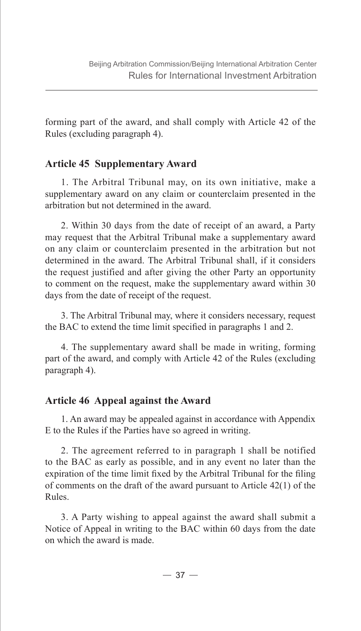forming part of the award, and shall comply with Article 42 of the Rules (excluding paragraph 4).

#### **Article 45 Supplementary Award**

1. The Arbitral Tribunal may, on its own initiative, make a supplementary award on any claim or counterclaim presented in the arbitration but not determined in the award.

2. Within 30 days from the date of receipt of an award, a Party may request that the Arbitral Tribunal make a supplementary award on any claim or counterclaim presented in the arbitration but not determined in the award. The Arbitral Tribunal shall, if it considers the request justified and after giving the other Party an opportunity to comment on the request, make the supplementary award within 30 days from the date of receipt of the request.

3. The Arbitral Tribunal may, where it considers necessary, request the BAC to extend the time limit specified in paragraphs 1 and 2.

4. The supplementary award shall be made in writing, forming part of the award, and comply with Article 42 of the Rules (excluding paragraph 4).

#### **Article 46 Appeal against the Award**

1. An award may be appealed against in accordance with Appendix E to the Rules if the Parties have so agreed in writing.

2. The agreement referred to in paragraph 1 shall be notified to the BAC as early as possible, and in any event no later than the expiration of the time limit fixed by the Arbitral Tribunal for the filing of comments on the draft of the award pursuant to Article 42(1) of the Rules.

3. A Party wishing to appeal against the award shall submit a Notice of Appeal in writing to the BAC within 60 days from the date on which the award is made.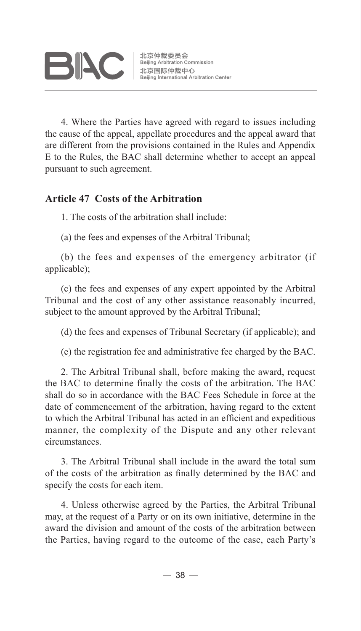4. Where the Parties have agreed with regard to issues including the cause of the appeal, appellate procedures and the appeal award that are different from the provisions contained in the Rules and Appendix E to the Rules, the BAC shall determine whether to accept an appeal pursuant to such agreement.

#### **Article 47 Costs of the Arbitration**

1. The costs of the arbitration shall include:

(a) the fees and expenses of the Arbitral Tribunal;

(b) the fees and expenses of the emergency arbitrator (if applicable);

(c) the fees and expenses of any expert appointed by the Arbitral Tribunal and the cost of any other assistance reasonably incurred, subject to the amount approved by the Arbitral Tribunal;

(d) the fees and expenses of Tribunal Secretary (if applicable); and

(e) the registration fee and administrative fee charged by the BAC.

2. The Arbitral Tribunal shall, before making the award, request the BAC to determine finally the costs of the arbitration. The BAC shall do so in accordance with the BAC Fees Schedule in force at the date of commencement of the arbitration, having regard to the extent to which the Arbitral Tribunal has acted in an efficient and expeditious manner, the complexity of the Dispute and any other relevant circumstances.

3. The Arbitral Tribunal shall include in the award the total sum of the costs of the arbitration as finally determined by the BAC and specify the costs for each item.

4. Unless otherwise agreed by the Parties, the Arbitral Tribunal may, at the request of a Party or on its own initiative, determine in the award the division and amount of the costs of the arbitration between the Parties, having regard to the outcome of the case, each Party's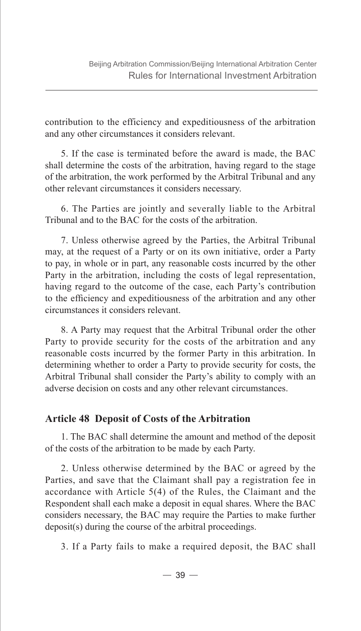contribution to the efficiency and expeditiousness of the arbitration and any other circumstances it considers relevant.

5. If the case is terminated before the award is made, the BAC shall determine the costs of the arbitration, having regard to the stage of the arbitration, the work performed by the Arbitral Tribunal and any other relevant circumstances it considers necessary.

6. The Parties are jointly and severally liable to the Arbitral Tribunal and to the BAC for the costs of the arbitration.

7. Unless otherwise agreed by the Parties, the Arbitral Tribunal may, at the request of a Party or on its own initiative, order a Party to pay, in whole or in part, any reasonable costs incurred by the other Party in the arbitration, including the costs of legal representation, having regard to the outcome of the case, each Party's contribution to the efficiency and expeditiousness of the arbitration and any other circumstances it considers relevant.

8. A Party may request that the Arbitral Tribunal order the other Party to provide security for the costs of the arbitration and any reasonable costs incurred by the former Party in this arbitration. In determining whether to order a Party to provide security for costs, the Arbitral Tribunal shall consider the Party's ability to comply with an adverse decision on costs and any other relevant circumstances.

#### **Article 48 Deposit of Costs of the Arbitration**

1. The BAC shall determine the amount and method of the deposit of the costs of the arbitration to be made by each Party.

2. Unless otherwise determined by the BAC or agreed by the Parties, and save that the Claimant shall pay a registration fee in accordance with Article 5(4) of the Rules, the Claimant and the Respondent shall each make a deposit in equal shares. Where the BAC considers necessary, the BAC may require the Parties to make further deposit(s) during the course of the arbitral proceedings.

3. If a Party fails to make a required deposit, the BAC shall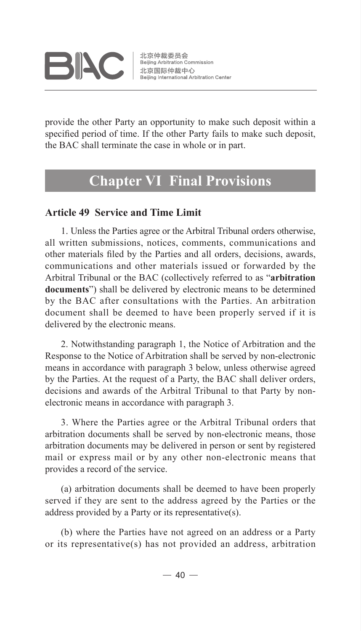

北京仲裁委员会 Beijing Arbitration Commission 北京国际仲裁中心 Beijing International Arbitration Center

provide the other Party an opportunity to make such deposit within a specified period of time. If the other Party fails to make such deposit, the BAC shall terminate the case in whole or in part.

### **Chapter VI Final Provisions**

#### **Article 49 Service and Time Limit**

1. Unless the Parties agree or the Arbitral Tribunal orders otherwise, all written submissions, notices, comments, communications and other materials filed by the Parties and all orders, decisions, awards, communications and other materials issued or forwarded by the Arbitral Tribunal or the BAC (collectively referred to as "**arbitration documents**") shall be delivered by electronic means to be determined by the BAC after consultations with the Parties. An arbitration document shall be deemed to have been properly served if it is delivered by the electronic means.

2. Notwithstanding paragraph 1, the Notice of Arbitration and the Response to the Notice of Arbitration shall be served by non-electronic means in accordance with paragraph 3 below, unless otherwise agreed by the Parties. At the request of a Party, the BAC shall deliver orders, decisions and awards of the Arbitral Tribunal to that Party by nonelectronic means in accordance with paragraph 3.

3. Where the Parties agree or the Arbitral Tribunal orders that arbitration documents shall be served by non-electronic means, those arbitration documents may be delivered in person or sent by registered mail or express mail or by any other non-electronic means that provides a record of the service.

(a) arbitration documents shall be deemed to have been properly served if they are sent to the address agreed by the Parties or the address provided by a Party or its representative(s).

(b) where the Parties have not agreed on an address or a Party or its representative(s) has not provided an address, arbitration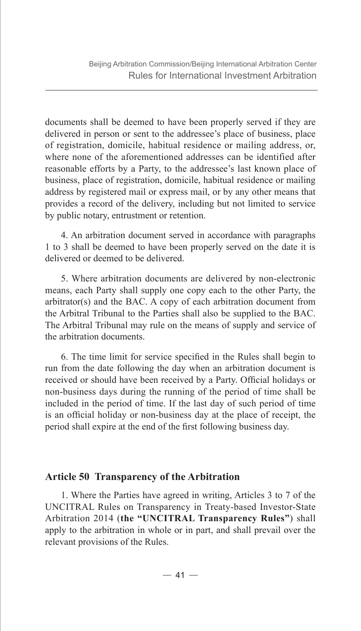documents shall be deemed to have been properly served if they are delivered in person or sent to the addressee's place of business, place of registration, domicile, habitual residence or mailing address, or, where none of the aforementioned addresses can be identified after reasonable efforts by a Party, to the addressee's last known place of business, place of registration, domicile, habitual residence or mailing address by registered mail or express mail, or by any other means that provides a record of the delivery, including but not limited to service by public notary, entrustment or retention.

4. An arbitration document served in accordance with paragraphs 1 to 3 shall be deemed to have been properly served on the date it is delivered or deemed to be delivered.

5. Where arbitration documents are delivered by non-electronic means, each Party shall supply one copy each to the other Party, the arbitrator(s) and the BAC. A copy of each arbitration document from the Arbitral Tribunal to the Parties shall also be supplied to the BAC. The Arbitral Tribunal may rule on the means of supply and service of the arbitration documents.

6. The time limit for service specified in the Rules shall begin to run from the date following the day when an arbitration document is received or should have been received by a Party. Official holidays or non-business days during the running of the period of time shall be included in the period of time. If the last day of such period of time is an official holiday or non-business day at the place of receipt, the period shall expire at the end of the first following business day.

#### **Article 50 Transparency of the Arbitration**

1. Where the Parties have agreed in writing, Articles 3 to 7 of the UNCITRAL Rules on Transparency in Treaty-based Investor-State Arbitration 2014 (**the "UNCITRAL Transparency Rules"**) shall apply to the arbitration in whole or in part, and shall prevail over the relevant provisions of the Rules.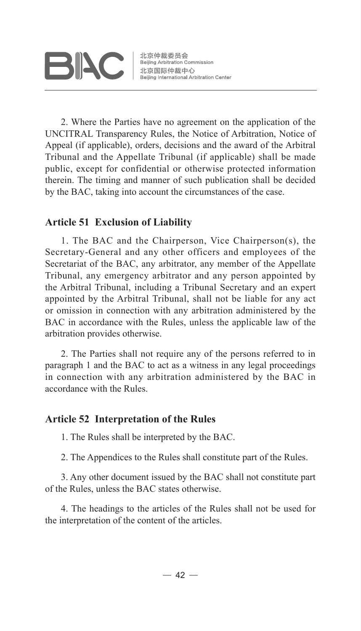# **BIAC**

北京仲裁委员会 ル京1世裁安東云<br>Beijing Arbitration Commission<br>北京国际仲裁中心<br>Beijing International Arbitration Beijing International Arbitration Center

2. Where the Parties have no agreement on the application of the UNCITRAL Transparency Rules, the Notice of Arbitration, Notice of Appeal (if applicable), orders, decisions and the award of the Arbitral Tribunal and the Appellate Tribunal (if applicable) shall be made public, except for confidential or otherwise protected information therein. The timing and manner of such publication shall be decided by the BAC, taking into account the circumstances of the case.

#### **Article 51 Exclusion of Liability**

1. The BAC and the Chairperson, Vice Chairperson(s), the Secretary-General and any other officers and employees of the Secretariat of the BAC, any arbitrator, any member of the Appellate Tribunal, any emergency arbitrator and any person appointed by the Arbitral Tribunal, including a Tribunal Secretary and an expert appointed by the Arbitral Tribunal, shall not be liable for any act or omission in connection with any arbitration administered by the BAC in accordance with the Rules, unless the applicable law of the arbitration provides otherwise.

2. The Parties shall not require any of the persons referred to in paragraph 1 and the BAC to act as a witness in any legal proceedings in connection with any arbitration administered by the BAC in accordance with the Rules.

#### **Article 52 Interpretation of the Rules**

1. The Rules shall be interpreted by the BAC.

2. The Appendices to the Rules shall constitute part of the Rules.

3. Any other document issued by the BAC shall not constitute part of the Rules, unless the BAC states otherwise.

4. The headings to the articles of the Rules shall not be used for the interpretation of the content of the articles.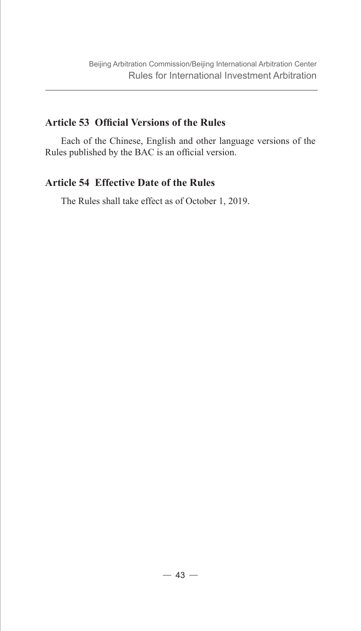#### **Article 53 Official Versions of the Rules**

Each of the Chinese, English and other language versions of the Rules published by the BAC is an official version.

#### **Article 54 Effective Date of the Rules**

The Rules shall take effect as of October 1, 2019.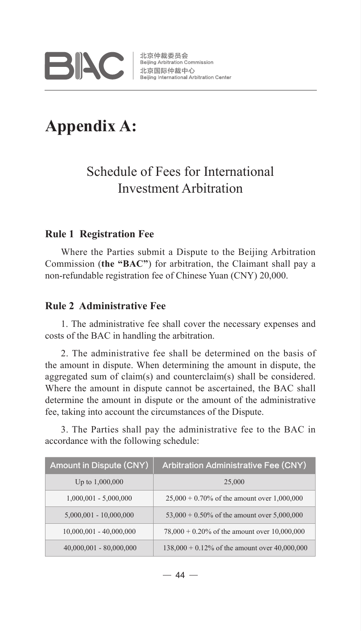

## **Appendix A:**

### Schedule of Fees for International Investment Arbitration

#### **Rule 1 Registration Fee**

Where the Parties submit a Dispute to the Beijing Arbitration Commission (**the "BAC"**) for arbitration, the Claimant shall pay a non-refundable registration fee of Chinese Yuan (CNY) 20,000.

#### **Rule 2 Administrative Fee**

1. The administrative fee shall cover the necessary expenses and costs of the BAC in handling the arbitration.

2. The administrative fee shall be determined on the basis of the amount in dispute. When determining the amount in dispute, the aggregated sum of claim(s) and counterclaim(s) shall be considered. Where the amount in dispute cannot be ascertained, the BAC shall determine the amount in dispute or the amount of the administrative fee, taking into account the circumstances of the Dispute.

3. The Parties shall pay the administrative fee to the BAC in accordance with the following schedule:

| Amount in Dispute (CNY)   | <b>Arbitration Administrative Fee (CNY)</b>      |
|---------------------------|--------------------------------------------------|
| Up to 1,000,000           | 25,000                                           |
| $1,000,001 - 5,000,000$   | $25,000 + 0.70\%$ of the amount over 1,000,000   |
| $5,000,001 - 10,000,000$  | $53,000 + 0.50\%$ of the amount over 5,000,000   |
| $10,000,001 - 40,000,000$ | $78,000 + 0.20\%$ of the amount over 10,000,000  |
| $40,000,001 - 80,000,000$ | $138,000 + 0.12\%$ of the amount over 40,000,000 |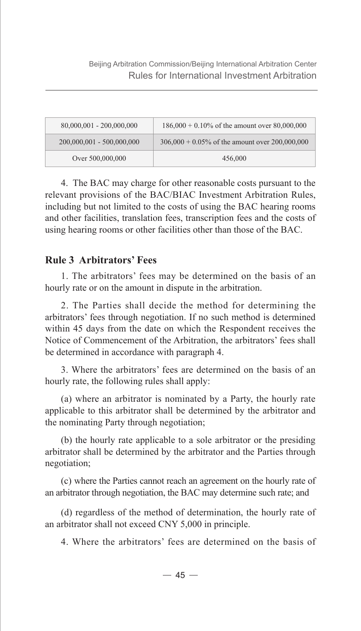| 80,000,001 - 200,000,000  | $186,000 + 0.10\%$ of the amount over 80,000,000  |
|---------------------------|---------------------------------------------------|
| 200,000,001 - 500,000,000 | $306,000 + 0.05\%$ of the amount over 200,000,000 |
| Over 500,000,000          | 456,000                                           |

4. The BAC may charge for other reasonable costs pursuant to the relevant provisions of the BAC/BIAC Investment Arbitration Rules, including but not limited to the costs of using the BAC hearing rooms and other facilities, translation fees, transcription fees and the costs of using hearing rooms or other facilities other than those of the BAC.

#### **Rule 3 Arbitrators' Fees**

1. The arbitrators' fees may be determined on the basis of an hourly rate or on the amount in dispute in the arbitration.

2. The Parties shall decide the method for determining the arbitrators' fees through negotiation. If no such method is determined within 45 days from the date on which the Respondent receives the Notice of Commencement of the Arbitration, the arbitrators' fees shall be determined in accordance with paragraph 4.

3. Where the arbitrators' fees are determined on the basis of an hourly rate, the following rules shall apply:

(a) where an arbitrator is nominated by a Party, the hourly rate applicable to this arbitrator shall be determined by the arbitrator and the nominating Party through negotiation;

(b) the hourly rate applicable to a sole arbitrator or the presiding arbitrator shall be determined by the arbitrator and the Parties through negotiation;

(c) where the Parties cannot reach an agreement on the hourly rate of an arbitrator through negotiation, the BAC may determine such rate; and

(d) regardless of the method of determination, the hourly rate of an arbitrator shall not exceed CNY 5,000 in principle.

4. Where the arbitrators' fees are determined on the basis of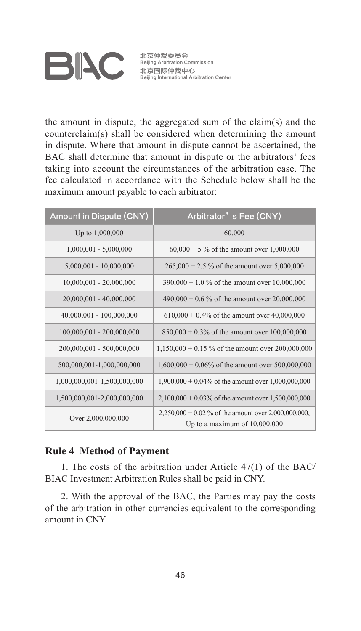# **BIAC**

北京仲裁委员会 北京仲裁委员会<br>Beijing Arbitration Commission<br>北京国际仲裁中心<br>Beijing International Arbitration Center

the amount in dispute, the aggregated sum of the claim(s) and the counterclaim(s) shall be considered when determining the amount in dispute. Where that amount in dispute cannot be ascertained, the BAC shall determine that amount in dispute or the arbitrators' fees taking into account the circumstances of the arbitration case. The fee calculated in accordance with the Schedule below shall be the maximum amount payable to each arbitrator:

| <b>Amount in Dispute (CNY)</b> | Arbitrator's Fee (CNY)                                                                    |
|--------------------------------|-------------------------------------------------------------------------------------------|
| Up to 1,000,000                | 60,000                                                                                    |
| $1,000,001 - 5,000,000$        | $60,000 + 5\%$ of the amount over 1,000,000                                               |
| $5,000,001 - 10,000,000$       | $265,000 + 2.5$ % of the amount over 5,000,000                                            |
| $10,000,001 - 20,000,000$      | $390,000 + 1.0$ % of the amount over 10,000,000                                           |
| 20,000,001 - 40,000,000        | $490,000 + 0.6$ % of the amount over 20,000,000                                           |
| 40,000,001 - 100,000,000       | $610,000 + 0.4\%$ of the amount over 40,000,000                                           |
| 100,000,001 - 200,000,000      | $850,000 + 0.3\%$ of the amount over $100,000,000$                                        |
| 200,000,001 - 500,000,000      | $1,150,000 + 0.15$ % of the amount over 200,000,000                                       |
| 500,000,001-1,000,000,000      | $1,600,000 + 0.06\%$ of the amount over 500,000,000                                       |
| 1,000,000,001-1,500,000,000    | $1,900,000 + 0.04\%$ of the amount over $1,000,000,000$                                   |
| 1,500,000,001-2,000,000,000    | $2,100,000 + 0.03\%$ of the amount over 1,500,000,000                                     |
| Over 2,000,000,000             | $2,250,000 + 0.02\%$ of the amount over 2,000,000,000,<br>Up to a maximum of $10,000,000$ |

#### **Rule 4 Method of Payment**

1. The costs of the arbitration under Article 47(1) of the BAC/ BIAC Investment Arbitration Rules shall be paid in CNY.

2. With the approval of the BAC, the Parties may pay the costs of the arbitration in other currencies equivalent to the corresponding amount in CNY.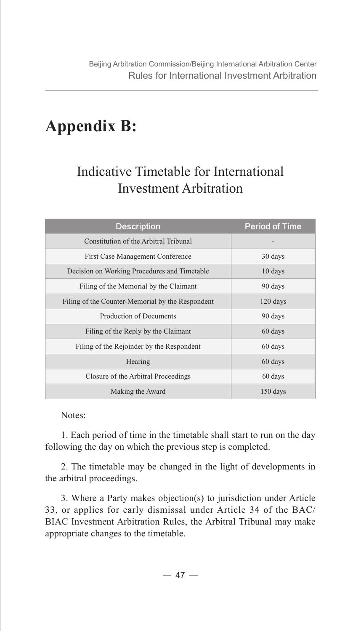# **Appendix B:**

## Indicative Timetable for International Investment Arbitration

| <b>Description</b>                               | <b>Period of Time</b> |
|--------------------------------------------------|-----------------------|
| Constitution of the Arbitral Tribunal            |                       |
| First Case Management Conference                 | 30 days               |
| Decision on Working Procedures and Timetable     | 10 days               |
| Filing of the Memorial by the Claimant           | 90 days               |
| Filing of the Counter-Memorial by the Respondent | 120 days              |
| <b>Production of Documents</b>                   | 90 days               |
| Filing of the Reply by the Claimant              | 60 days               |
| Filing of the Rejoinder by the Respondent        | 60 days               |
| Hearing                                          | 60 days               |
| Closure of the Arbitral Proceedings              | 60 days               |
| Making the Award                                 | 150 days              |

Notes:

1. Each period of time in the timetable shall start to run on the day following the day on which the previous step is completed.

2. The timetable may be changed in the light of developments in the arbitral proceedings.

3. Where a Party makes objection(s) to jurisdiction under Article 33, or applies for early dismissal under Article 34 of the BAC/ BIAC Investment Arbitration Rules, the Arbitral Tribunal may make appropriate changes to the timetable.

 $-47-$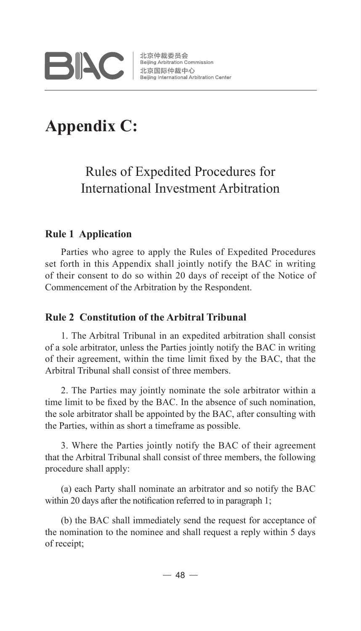

# **Appendix C:**

## Rules of Expedited Procedures for International Investment Arbitration

#### **Rule 1 Application**

Parties who agree to apply the Rules of Expedited Procedures set forth in this Appendix shall jointly notify the BAC in writing of their consent to do so within 20 days of receipt of the Notice of Commencement of the Arbitration by the Respondent.

#### **Rule 2 Constitution of the Arbitral Tribunal**

1. The Arbitral Tribunal in an expedited arbitration shall consist of a sole arbitrator, unless the Parties jointly notify the BAC in writing of their agreement, within the time limit fixed by the BAC, that the Arbitral Tribunal shall consist of three members.

2. The Parties may jointly nominate the sole arbitrator within a time limit to be fixed by the BAC. In the absence of such nomination, the sole arbitrator shall be appointed by the BAC, after consulting with the Parties, within as short a timeframe as possible.

3. Where the Parties jointly notify the BAC of their agreement that the Arbitral Tribunal shall consist of three members, the following procedure shall apply:

(a) each Party shall nominate an arbitrator and so notify the BAC within 20 days after the notification referred to in paragraph 1;

(b) the BAC shall immediately send the request for acceptance of the nomination to the nominee and shall request a reply within 5 days of receipt;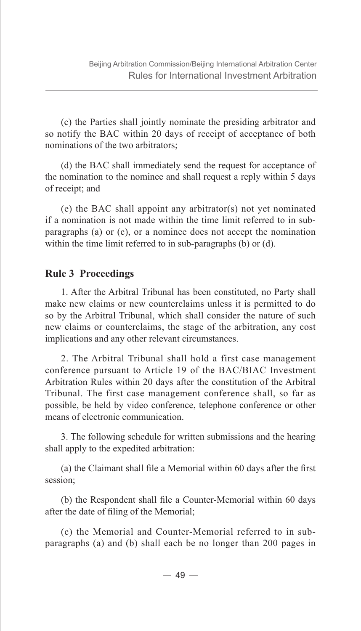(c) the Parties shall jointly nominate the presiding arbitrator and so notify the BAC within 20 days of receipt of acceptance of both nominations of the two arbitrators;

(d) the BAC shall immediately send the request for acceptance of the nomination to the nominee and shall request a reply within 5 days of receipt; and

(e) the BAC shall appoint any arbitrator(s) not yet nominated if a nomination is not made within the time limit referred to in subparagraphs (a) or (c), or a nominee does not accept the nomination within the time limit referred to in sub-paragraphs (b) or (d).

#### **Rule 3 Proceedings**

1. After the Arbitral Tribunal has been constituted, no Party shall make new claims or new counterclaims unless it is permitted to do so by the Arbitral Tribunal, which shall consider the nature of such new claims or counterclaims, the stage of the arbitration, any cost implications and any other relevant circumstances.

2. The Arbitral Tribunal shall hold a first case management conference pursuant to Article 19 of the BAC/BIAC Investment Arbitration Rules within 20 days after the constitution of the Arbitral Tribunal. The first case management conference shall, so far as possible, be held by video conference, telephone conference or other means of electronic communication.

3. The following schedule for written submissions and the hearing shall apply to the expedited arbitration:

(a) the Claimant shall file a Memorial within 60 days after the first session;

(b) the Respondent shall file a Counter-Memorial within 60 days after the date of filing of the Memorial;

(c) the Memorial and Counter-Memorial referred to in subparagraphs (a) and (b) shall each be no longer than 200 pages in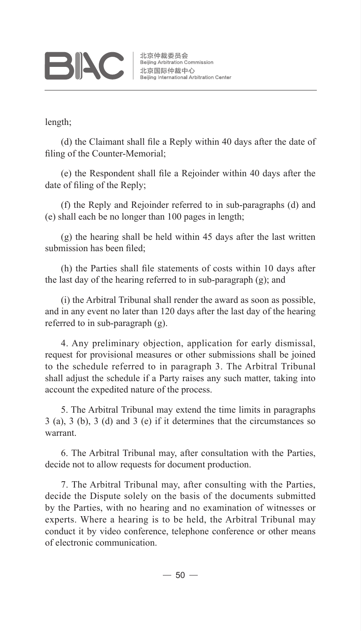# **BIAC**

length;

(d) the Claimant shall file a Reply within 40 days after the date of filing of the Counter-Memorial;

(e) the Respondent shall file a Rejoinder within 40 days after the date of filing of the Reply;

(f) the Reply and Rejoinder referred to in sub-paragraphs (d) and (e) shall each be no longer than 100 pages in length;

(g) the hearing shall be held within 45 days after the last written submission has been filed;

(h) the Parties shall file statements of costs within 10 days after the last day of the hearing referred to in sub-paragraph (g); and

(i) the Arbitral Tribunal shall render the award as soon as possible, and in any event no later than 120 days after the last day of the hearing referred to in sub-paragraph (g).

4. Any preliminary objection, application for early dismissal, request for provisional measures or other submissions shall be joined to the schedule referred to in paragraph 3. The Arbitral Tribunal shall adjust the schedule if a Party raises any such matter, taking into account the expedited nature of the process.

5. The Arbitral Tribunal may extend the time limits in paragraphs 3 (a), 3 (b), 3 (d) and 3 (e) if it determines that the circumstances so warrant.

6. The Arbitral Tribunal may, after consultation with the Parties, decide not to allow requests for document production.

7. The Arbitral Tribunal may, after consulting with the Parties, decide the Dispute solely on the basis of the documents submitted by the Parties, with no hearing and no examination of witnesses or experts. Where a hearing is to be held, the Arbitral Tribunal may conduct it by video conference, telephone conference or other means of electronic communication.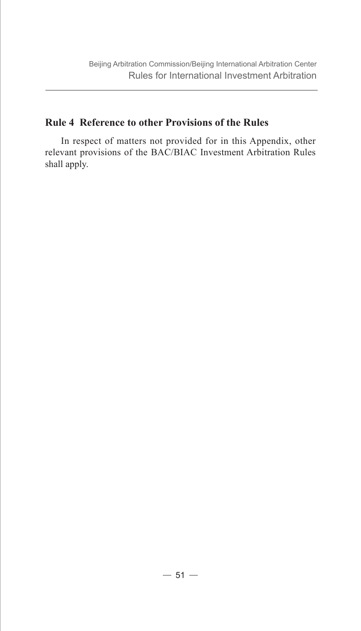#### **Rule 4 Reference to other Provisions of the Rules**

In respect of matters not provided for in this Appendix, other relevant provisions of the BAC/BIAC Investment Arbitration Rules shall apply.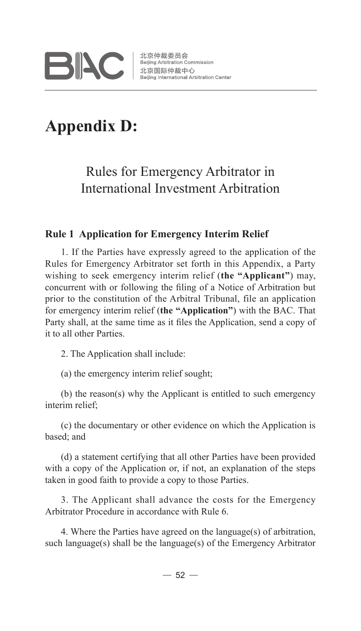

# **Appendix D:**

## Rules for Emergency Arbitrator in International Investment Arbitration

#### **Rule 1 Application for Emergency Interim Relief**

1. If the Parties have expressly agreed to the application of the Rules for Emergency Arbitrator set forth in this Appendix, a Party wishing to seek emergency interim relief (**the "Applicant"**) may, concurrent with or following the filing of a Notice of Arbitration but prior to the constitution of the Arbitral Tribunal, file an application for emergency interim relief (**the "Application"**) with the BAC. That Party shall, at the same time as it files the Application, send a copy of it to all other Parties.

2. The Application shall include:

(a) the emergency interim relief sought;

(b) the reason(s) why the Applicant is entitled to such emergency interim relief;

(c) the documentary or other evidence on which the Application is based; and

(d) a statement certifying that all other Parties have been provided with a copy of the Application or, if not, an explanation of the steps taken in good faith to provide a copy to those Parties.

3. The Applicant shall advance the costs for the Emergency Arbitrator Procedure in accordance with Rule 6.

4. Where the Parties have agreed on the language(s) of arbitration, such language(s) shall be the language(s) of the Emergency Arbitrator

 $-52-$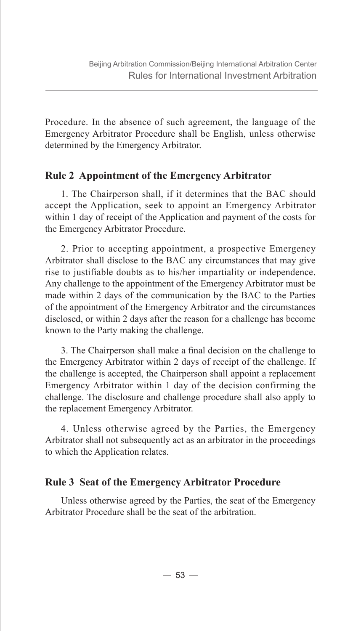Procedure. In the absence of such agreement, the language of the Emergency Arbitrator Procedure shall be English, unless otherwise determined by the Emergency Arbitrator.

#### **Rule 2 Appointment of the Emergency Arbitrator**

1. The Chairperson shall, if it determines that the BAC should accept the Application, seek to appoint an Emergency Arbitrator within 1 day of receipt of the Application and payment of the costs for the Emergency Arbitrator Procedure.

2. Prior to accepting appointment, a prospective Emergency Arbitrator shall disclose to the BAC any circumstances that may give rise to justifiable doubts as to his/her impartiality or independence. Any challenge to the appointment of the Emergency Arbitrator must be made within 2 days of the communication by the BAC to the Parties of the appointment of the Emergency Arbitrator and the circumstances disclosed, or within 2 days after the reason for a challenge has become known to the Party making the challenge.

3. The Chairperson shall make a final decision on the challenge to the Emergency Arbitrator within 2 days of receipt of the challenge. If the challenge is accepted, the Chairperson shall appoint a replacement Emergency Arbitrator within 1 day of the decision confirming the challenge. The disclosure and challenge procedure shall also apply to the replacement Emergency Arbitrator.

4. Unless otherwise agreed by the Parties, the Emergency Arbitrator shall not subsequently act as an arbitrator in the proceedings to which the Application relates.

#### **Rule 3 Seat of the Emergency Arbitrator Procedure**

Unless otherwise agreed by the Parties, the seat of the Emergency Arbitrator Procedure shall be the seat of the arbitration.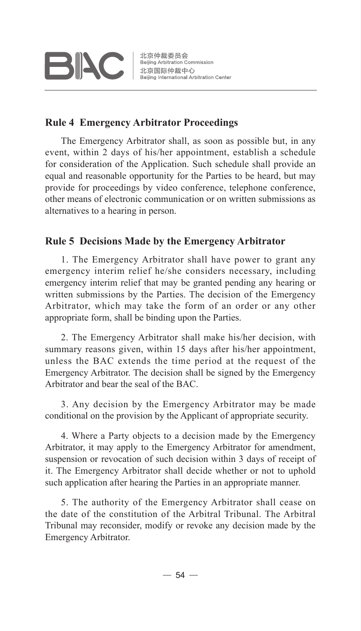

#### **Rule 4 Emergency Arbitrator Proceedings**

The Emergency Arbitrator shall, as soon as possible but, in any event, within 2 days of his/her appointment, establish a schedule for consideration of the Application. Such schedule shall provide an equal and reasonable opportunity for the Parties to be heard, but may provide for proceedings by video conference, telephone conference, other means of electronic communication or on written submissions as alternatives to a hearing in person.

#### **Rule 5 Decisions Made by the Emergency Arbitrator**

1. The Emergency Arbitrator shall have power to grant any emergency interim relief he/she considers necessary, including emergency interim relief that may be granted pending any hearing or written submissions by the Parties. The decision of the Emergency Arbitrator, which may take the form of an order or any other appropriate form, shall be binding upon the Parties.

2. The Emergency Arbitrator shall make his/her decision, with summary reasons given, within 15 days after his/her appointment. unless the BAC extends the time period at the request of the Emergency Arbitrator. The decision shall be signed by the Emergency Arbitrator and bear the seal of the BAC.

3. Any decision by the Emergency Arbitrator may be made conditional on the provision by the Applicant of appropriate security.

4. Where a Party objects to a decision made by the Emergency Arbitrator, it may apply to the Emergency Arbitrator for amendment, suspension or revocation of such decision within 3 days of receipt of it. The Emergency Arbitrator shall decide whether or not to uphold such application after hearing the Parties in an appropriate manner.

5. The authority of the Emergency Arbitrator shall cease on the date of the constitution of the Arbitral Tribunal. The Arbitral Tribunal may reconsider, modify or revoke any decision made by the Emergency Arbitrator.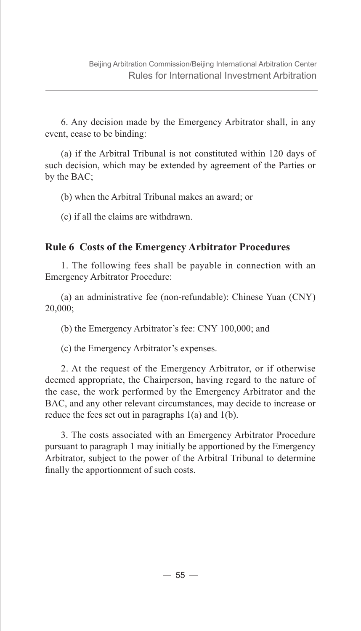6. Any decision made by the Emergency Arbitrator shall, in any event, cease to be binding:

(a) if the Arbitral Tribunal is not constituted within 120 days of such decision, which may be extended by agreement of the Parties or by the BAC;

(b) when the Arbitral Tribunal makes an award; or

(c) if all the claims are withdrawn.

#### **Rule 6 Costs of the Emergency Arbitrator Procedures**

1. The following fees shall be payable in connection with an Emergency Arbitrator Procedure:

(a) an administrative fee (non-refundable): Chinese Yuan (CNY) 20,000;

(b) the Emergency Arbitrator's fee: CNY 100,000; and

(c) the Emergency Arbitrator's expenses.

2. At the request of the Emergency Arbitrator, or if otherwise deemed appropriate, the Chairperson, having regard to the nature of the case, the work performed by the Emergency Arbitrator and the BAC, and any other relevant circumstances, may decide to increase or reduce the fees set out in paragraphs 1(a) and 1(b).

3. The costs associated with an Emergency Arbitrator Procedure pursuant to paragraph 1 may initially be apportioned by the Emergency Arbitrator, subject to the power of the Arbitral Tribunal to determine finally the apportionment of such costs.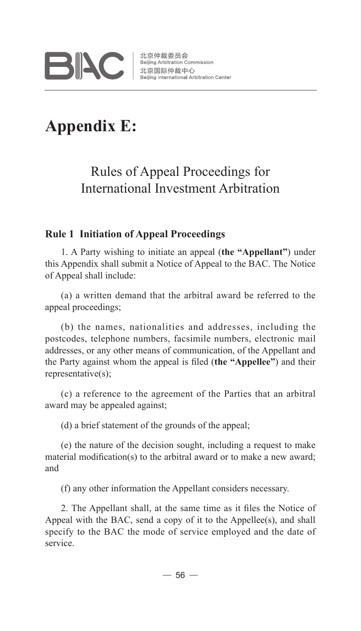

# **Appendix E:**

## Rules of Appeal Proceedings for International Investment Arbitration

#### **Rule 1 Initiation of Appeal Proceedings**

1. A Party wishing to initiate an appeal (**the "Appellant"**) under this Appendix shall submit a Notice of Appeal to the BAC. The Notice of Appeal shall include:

(a) a written demand that the arbitral award be referred to the appeal proceedings;

(b) the names, nationalities and addresses, including the postcodes, telephone numbers, facsimile numbers, electronic mail addresses, or any other means of communication, of the Appellant and the Party against whom the appeal is filed (**the "Appellee"**) and their representative(s);

(c) a reference to the agreement of the Parties that an arbitral award may be appealed against;

(d) a brief statement of the grounds of the appeal;

(e) the nature of the decision sought, including a request to make material modification(s) to the arbitral award or to make a new award; and

(f) any other information the Appellant considers necessary.

2. The Appellant shall, at the same time as it files the Notice of Appeal with the BAC, send a copy of it to the Appellee(s), and shall specify to the BAC the mode of service employed and the date of service.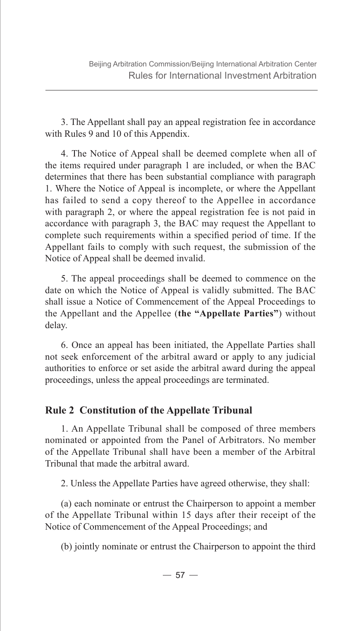3. The Appellant shall pay an appeal registration fee in accordance with Rules 9 and 10 of this Appendix.

4. The Notice of Appeal shall be deemed complete when all of the items required under paragraph 1 are included, or when the BAC determines that there has been substantial compliance with paragraph 1. Where the Notice of Appeal is incomplete, or where the Appellant has failed to send a copy thereof to the Appellee in accordance with paragraph 2, or where the appeal registration fee is not paid in accordance with paragraph 3, the BAC may request the Appellant to complete such requirements within a specified period of time. If the Appellant fails to comply with such request, the submission of the Notice of Appeal shall be deemed invalid.

5. The appeal proceedings shall be deemed to commence on the date on which the Notice of Appeal is validly submitted. The BAC shall issue a Notice of Commencement of the Appeal Proceedings to the Appellant and the Appellee (**the "Appellate Parties"**) without delay.

6. Once an appeal has been initiated, the Appellate Parties shall not seek enforcement of the arbitral award or apply to any judicial authorities to enforce or set aside the arbitral award during the appeal proceedings, unless the appeal proceedings are terminated.

#### **Rule 2 Constitution of the Appellate Tribunal**

1. An Appellate Tribunal shall be composed of three members nominated or appointed from the Panel of Arbitrators. No member of the Appellate Tribunal shall have been a member of the Arbitral Tribunal that made the arbitral award.

2. Unless the Appellate Parties have agreed otherwise, they shall:

(a) each nominate or entrust the Chairperson to appoint a member of the Appellate Tribunal within 15 days after their receipt of the Notice of Commencement of the Appeal Proceedings; and

(b) jointly nominate or entrust the Chairperson to appoint the third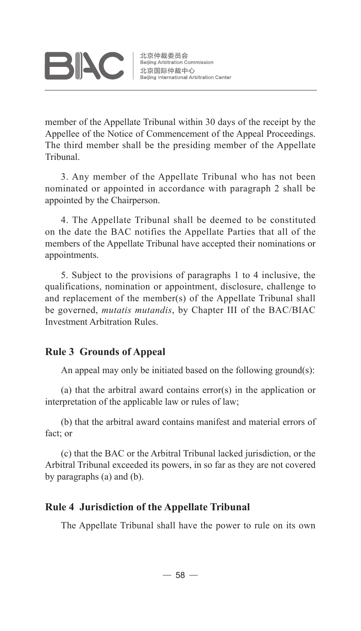

member of the Appellate Tribunal within 30 days of the receipt by the Appellee of the Notice of Commencement of the Appeal Proceedings. The third member shall be the presiding member of the Appellate Tribunal.

3. Any member of the Appellate Tribunal who has not been nominated or appointed in accordance with paragraph 2 shall be appointed by the Chairperson.

4. The Appellate Tribunal shall be deemed to be constituted on the date the BAC notifies the Appellate Parties that all of the members of the Appellate Tribunal have accepted their nominations or appointments.

5. Subject to the provisions of paragraphs 1 to 4 inclusive, the qualifications, nomination or appointment, disclosure, challenge to and replacement of the member(s) of the Appellate Tribunal shall be governed, *mutatis mutandis*, by Chapter III of the BAC/BIAC Investment Arbitration Rules.

#### **Rule 3 Grounds of Appeal**

An appeal may only be initiated based on the following ground(s):

(a) that the arbitral award contains error(s) in the application or interpretation of the applicable law or rules of law;

(b) that the arbitral award contains manifest and material errors of fact; or

(c) that the BAC or the Arbitral Tribunal lacked jurisdiction, or the Arbitral Tribunal exceeded its powers, in so far as they are not covered by paragraphs (a) and (b).

#### **Rule 4 Jurisdiction of the Appellate Tribunal**

The Appellate Tribunal shall have the power to rule on its own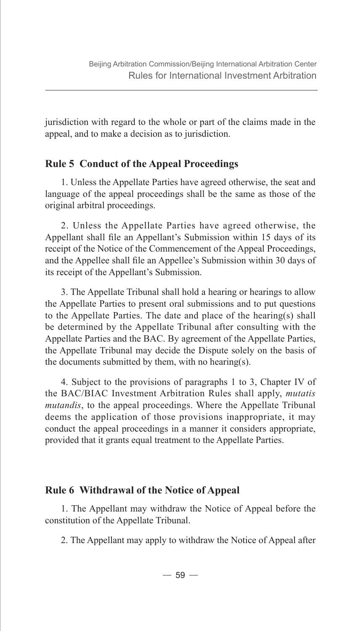jurisdiction with regard to the whole or part of the claims made in the appeal, and to make a decision as to jurisdiction.

#### **Rule 5 Conduct of the Appeal Proceedings**

1. Unless the Appellate Parties have agreed otherwise, the seat and language of the appeal proceedings shall be the same as those of the original arbitral proceedings.

2. Unless the Appellate Parties have agreed otherwise, the Appellant shall file an Appellant's Submission within 15 days of its receipt of the Notice of the Commencement of the Appeal Proceedings, and the Appellee shall file an Appellee's Submission within 30 days of its receipt of the Appellant's Submission.

3. The Appellate Tribunal shall hold a hearing or hearings to allow the Appellate Parties to present oral submissions and to put questions to the Appellate Parties. The date and place of the hearing(s) shall be determined by the Appellate Tribunal after consulting with the Appellate Parties and the BAC. By agreement of the Appellate Parties, the Appellate Tribunal may decide the Dispute solely on the basis of the documents submitted by them, with no hearing(s).

4. Subject to the provisions of paragraphs 1 to 3, Chapter IV of the BAC/BIAC Investment Arbitration Rules shall apply, *mutatis mutandis*, to the appeal proceedings. Where the Appellate Tribunal deems the application of those provisions inappropriate, it may conduct the appeal proceedings in a manner it considers appropriate, provided that it grants equal treatment to the Appellate Parties.

#### **Rule 6 Withdrawal of the Notice of Appeal**

1. The Appellant may withdraw the Notice of Appeal before the constitution of the Appellate Tribunal.

2. The Appellant may apply to withdraw the Notice of Appeal after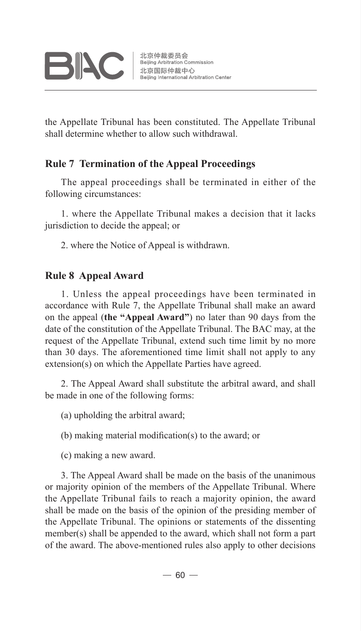

the Appellate Tribunal has been constituted. The Appellate Tribunal shall determine whether to allow such withdrawal.

#### **Rule 7 Termination of the Appeal Proceedings**

The appeal proceedings shall be terminated in either of the following circumstances:

1. where the Appellate Tribunal makes a decision that it lacks jurisdiction to decide the appeal; or

2. where the Notice of Appeal is withdrawn.

#### **Rule 8 Appeal Award**

1. Unless the appeal proceedings have been terminated in accordance with Rule 7, the Appellate Tribunal shall make an award on the appeal (**the "Appeal Award"**) no later than 90 days from the date of the constitution of the Appellate Tribunal. The BAC may, at the request of the Appellate Tribunal, extend such time limit by no more than 30 days. The aforementioned time limit shall not apply to any extension(s) on which the Appellate Parties have agreed.

2. The Appeal Award shall substitute the arbitral award, and shall be made in one of the following forms:

(a) upholding the arbitral award;

(b) making material modification(s) to the award; or

(c) making a new award.

3. The Appeal Award shall be made on the basis of the unanimous or majority opinion of the members of the Appellate Tribunal. Where the Appellate Tribunal fails to reach a majority opinion, the award shall be made on the basis of the opinion of the presiding member of the Appellate Tribunal. The opinions or statements of the dissenting member(s) shall be appended to the award, which shall not form a part of the award. The above-mentioned rules also apply to other decisions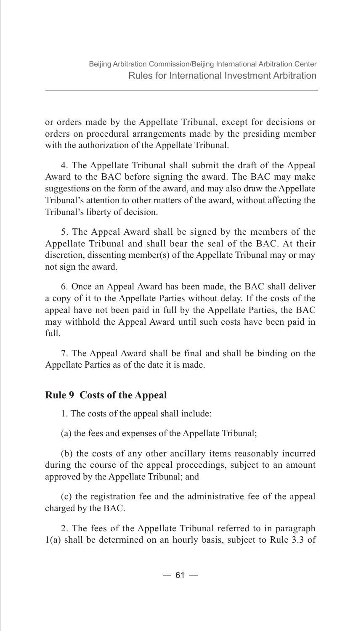or orders made by the Appellate Tribunal, except for decisions or orders on procedural arrangements made by the presiding member with the authorization of the Appellate Tribunal.

4. The Appellate Tribunal shall submit the draft of the Appeal Award to the BAC before signing the award. The BAC may make suggestions on the form of the award, and may also draw the Appellate Tribunal's attention to other matters of the award, without affecting the Tribunal's liberty of decision.

5. The Appeal Award shall be signed by the members of the Appellate Tribunal and shall bear the seal of the BAC. At their discretion, dissenting member(s) of the Appellate Tribunal may or may not sign the award.

6. Once an Appeal Award has been made, the BAC shall deliver a copy of it to the Appellate Parties without delay. If the costs of the appeal have not been paid in full by the Appellate Parties, the BAC may withhold the Appeal Award until such costs have been paid in  $f<sub>1</sub>11$ .

7. The Appeal Award shall be final and shall be binding on the Appellate Parties as of the date it is made.

#### **Rule 9 Costs of the Appeal**

1. The costs of the appeal shall include:

(a) the fees and expenses of the Appellate Tribunal;

(b) the costs of any other ancillary items reasonably incurred during the course of the appeal proceedings, subject to an amount approved by the Appellate Tribunal; and

(c) the registration fee and the administrative fee of the appeal charged by the BAC.

2. The fees of the Appellate Tribunal referred to in paragraph 1(a) shall be determined on an hourly basis, subject to Rule 3.3 of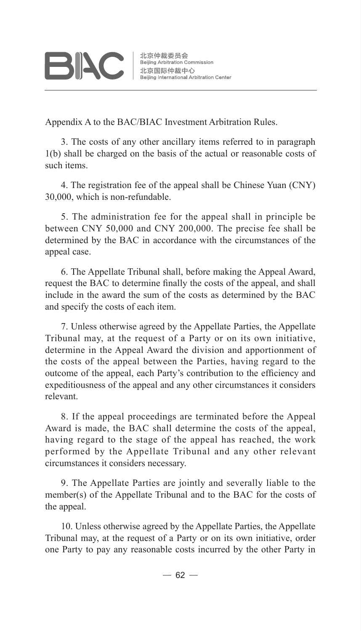# **BIAC**

Appendix A to the BAC/BIAC Investment Arbitration Rules.

3. The costs of any other ancillary items referred to in paragraph 1(b) shall be charged on the basis of the actual or reasonable costs of such items.

4. The registration fee of the appeal shall be Chinese Yuan (CNY) 30,000, which is non-refundable.

5. The administration fee for the appeal shall in principle be between CNY 50,000 and CNY 200,000. The precise fee shall be determined by the BAC in accordance with the circumstances of the appeal case.

6. The Appellate Tribunal shall, before making the Appeal Award, request the BAC to determine finally the costs of the appeal, and shall include in the award the sum of the costs as determined by the BAC and specify the costs of each item.

7. Unless otherwise agreed by the Appellate Parties, the Appellate Tribunal may, at the request of a Party or on its own initiative, determine in the Appeal Award the division and apportionment of the costs of the appeal between the Parties, having regard to the outcome of the appeal, each Party's contribution to the efficiency and expeditiousness of the appeal and any other circumstances it considers relevant.

8. If the appeal proceedings are terminated before the Appeal Award is made, the BAC shall determine the costs of the appeal, having regard to the stage of the appeal has reached, the work performed by the Appellate Tribunal and any other relevant circumstances it considers necessary.

9. The Appellate Parties are jointly and severally liable to the member(s) of the Appellate Tribunal and to the BAC for the costs of the appeal.

10. Unless otherwise agreed by the Appellate Parties, the Appellate Tribunal may, at the request of a Party or on its own initiative, order one Party to pay any reasonable costs incurred by the other Party in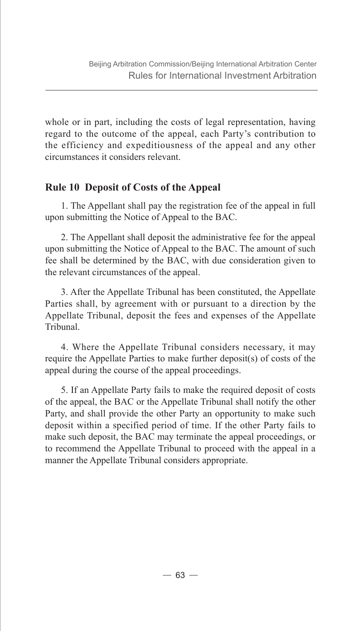whole or in part, including the costs of legal representation, having regard to the outcome of the appeal, each Party's contribution to the efficiency and expeditiousness of the appeal and any other circumstances it considers relevant.

#### **Rule 10 Deposit of Costs of the Appeal**

1. The Appellant shall pay the registration fee of the appeal in full upon submitting the Notice of Appeal to the BAC.

2. The Appellant shall deposit the administrative fee for the appeal upon submitting the Notice of Appeal to the BAC. The amount of such fee shall be determined by the BAC, with due consideration given to the relevant circumstances of the appeal.

3. After the Appellate Tribunal has been constituted, the Appellate Parties shall, by agreement with or pursuant to a direction by the Appellate Tribunal, deposit the fees and expenses of the Appellate Tribunal.

4. Where the Appellate Tribunal considers necessary, it may require the Appellate Parties to make further deposit(s) of costs of the appeal during the course of the appeal proceedings.

5. If an Appellate Party fails to make the required deposit of costs of the appeal, the BAC or the Appellate Tribunal shall notify the other Party, and shall provide the other Party an opportunity to make such deposit within a specified period of time. If the other Party fails to make such deposit, the BAC may terminate the appeal proceedings, or to recommend the Appellate Tribunal to proceed with the appeal in a manner the Appellate Tribunal considers appropriate.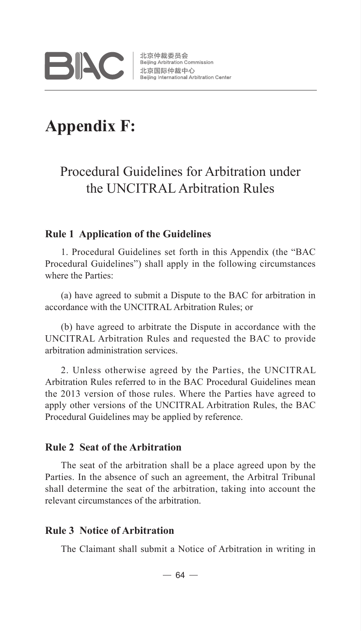

## **Appendix F:**

### Procedural Guidelines for Arbitration under the UNCITRAL Arbitration Rules

#### **Rule 1 Application of the Guidelines**

1. Procedural Guidelines set forth in this Appendix (the "BAC Procedural Guidelines") shall apply in the following circumstances where the Parties:

(a) have agreed to submit a Dispute to the BAC for arbitration in accordance with the UNCITRAL Arbitration Rules; or

(b) have agreed to arbitrate the Dispute in accordance with the UNCITRAL Arbitration Rules and requested the BAC to provide arbitration administration services.

2. Unless otherwise agreed by the Parties, the UNCITRAL Arbitration Rules referred to in the BAC Procedural Guidelines mean the 2013 version of those rules. Where the Parties have agreed to apply other versions of the UNCITRAL Arbitration Rules, the BAC Procedural Guidelines may be applied by reference.

#### **Rule 2 Seat of the Arbitration**

The seat of the arbitration shall be a place agreed upon by the Parties. In the absence of such an agreement, the Arbitral Tribunal shall determine the seat of the arbitration, taking into account the relevant circumstances of the arbitration.

#### **Rule 3 Notice of Arbitration**

The Claimant shall submit a Notice of Arbitration in writing in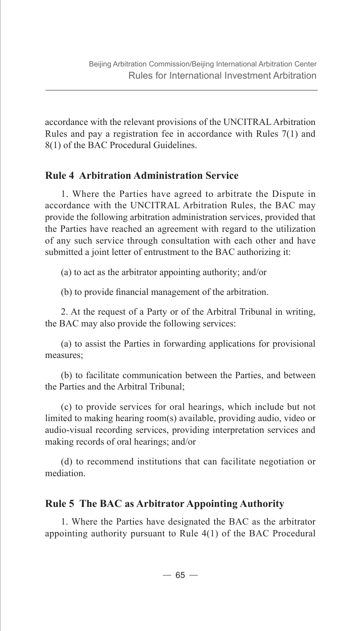accordance with the relevant provisions of the UNCITRAL Arbitration Rules and pay a registration fee in accordance with Rules 7(1) and 8(1) of the BAC Procedural Guidelines.

#### **Rule 4 Arbitration Administration Service**

1. Where the Parties have agreed to arbitrate the Dispute in accordance with the UNCITRAL Arbitration Rules, the BAC may provide the following arbitration administration services, provided that the Parties have reached an agreement with regard to the utilization of any such service through consultation with each other and have submitted a joint letter of entrustment to the BAC authorizing it:

(a) to act as the arbitrator appointing authority; and/or

(b) to provide financial management of the arbitration.

2. At the request of a Party or of the Arbitral Tribunal in writing, the BAC may also provide the following services:

(a) to assist the Parties in forwarding applications for provisional measures;

(b) to facilitate communication between the Parties, and between the Parties and the Arbitral Tribunal;

(c) to provide services for oral hearings, which include but not limited to making hearing room(s) available, providing audio, video or audio-visual recording services, providing interpretation services and making records of oral hearings; and/or

(d) to recommend institutions that can facilitate negotiation or mediation.

#### **Rule 5 The BAC as Arbitrator Appointing Authority**

1. Where the Parties have designated the BAC as the arbitrator appointing authority pursuant to Rule 4(1) of the BAC Procedural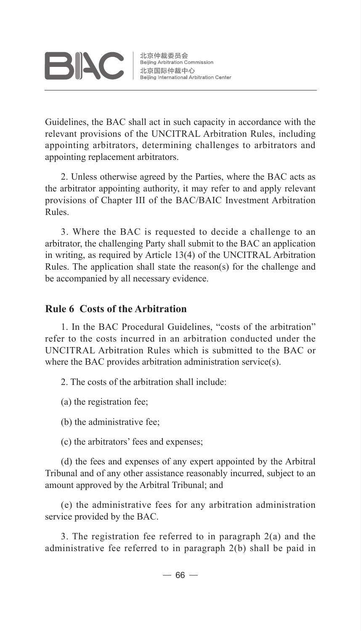

北京仲裁委员会 ル京1世裁安東云<br>Beijing Arbitration Commission<br>北京国际仲裁中心<br>Beijing International Arbitration Beiling International Arbitration Center

Guidelines, the BAC shall act in such capacity in accordance with the relevant provisions of the UNCITRAL Arbitration Rules, including appointing arbitrators, determining challenges to arbitrators and appointing replacement arbitrators.

2. Unless otherwise agreed by the Parties, where the BAC acts as the arbitrator appointing authority, it may refer to and apply relevant provisions of Chapter III of the BAC/BAIC Investment Arbitration Rules.

3. Where the BAC is requested to decide a challenge to an arbitrator, the challenging Party shall submit to the BAC an application in writing, as required by Article 13(4) of the UNCITRAL Arbitration Rules. The application shall state the reason(s) for the challenge and be accompanied by all necessary evidence.

#### **Rule 6 Costs of the Arbitration**

1. In the BAC Procedural Guidelines, "costs of the arbitration" refer to the costs incurred in an arbitration conducted under the UNCITRAL Arbitration Rules which is submitted to the BAC or where the BAC provides arbitration administration service(s).

2. The costs of the arbitration shall include:

(a) the registration fee;

(b) the administrative fee;

(c) the arbitrators' fees and expenses;

(d) the fees and expenses of any expert appointed by the Arbitral Tribunal and of any other assistance reasonably incurred, subject to an amount approved by the Arbitral Tribunal; and

(e) the administrative fees for any arbitration administration service provided by the BAC.

3. The registration fee referred to in paragraph 2(a) and the administrative fee referred to in paragraph 2(b) shall be paid in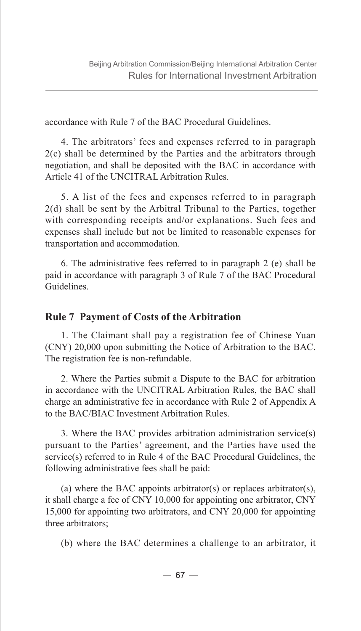accordance with Rule 7 of the BAC Procedural Guidelines.

4. The arbitrators' fees and expenses referred to in paragraph 2(c) shall be determined by the Parties and the arbitrators through negotiation, and shall be deposited with the BAC in accordance with Article 41 of the UNCITRAL Arbitration Rules.

5. A list of the fees and expenses referred to in paragraph 2(d) shall be sent by the Arbitral Tribunal to the Parties, together with corresponding receipts and/or explanations. Such fees and expenses shall include but not be limited to reasonable expenses for transportation and accommodation.

6. The administrative fees referred to in paragraph 2 (e) shall be paid in accordance with paragraph 3 of Rule 7 of the BAC Procedural Guidelines.

## **Rule 7 Payment of Costs of the Arbitration**

1. The Claimant shall pay a registration fee of Chinese Yuan (CNY) 20,000 upon submitting the Notice of Arbitration to the BAC. The registration fee is non-refundable.

2. Where the Parties submit a Dispute to the BAC for arbitration in accordance with the UNCITRAL Arbitration Rules, the BAC shall charge an administrative fee in accordance with Rule 2 of Appendix A to the BAC/BIAC Investment Arbitration Rules.

3. Where the BAC provides arbitration administration service(s) pursuant to the Parties' agreement, and the Parties have used the service(s) referred to in Rule 4 of the BAC Procedural Guidelines, the following administrative fees shall be paid:

(a) where the BAC appoints arbitrator(s) or replaces arbitrator(s), it shall charge a fee of CNY 10,000 for appointing one arbitrator, CNY 15,000 for appointing two arbitrators, and CNY 20,000 for appointing three arbitrators;

(b) where the BAC determines a challenge to an arbitrator, it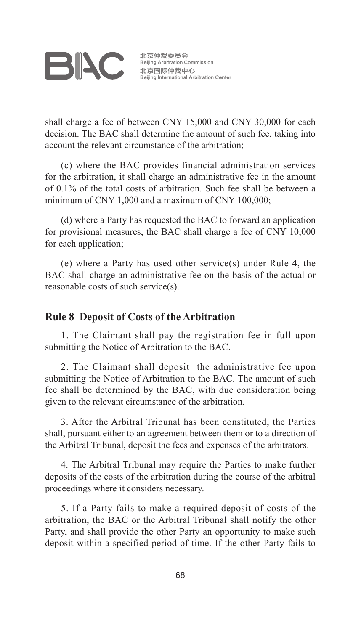

shall charge a fee of between CNY 15,000 and CNY 30,000 for each decision. The BAC shall determine the amount of such fee, taking into account the relevant circumstance of the arbitration;

(c) where the BAC provides financial administration services for the arbitration, it shall charge an administrative fee in the amount of 0.1% of the total costs of arbitration. Such fee shall be between a minimum of CNY 1,000 and a maximum of CNY 100,000;

(d) where a Party has requested the BAC to forward an application for provisional measures, the BAC shall charge a fee of CNY 10,000 for each application;

(e) where a Party has used other service(s) under Rule 4, the BAC shall charge an administrative fee on the basis of the actual or reasonable costs of such service(s).

## **Rule 8 Deposit of Costs of the Arbitration**

1. The Claimant shall pay the registration fee in full upon submitting the Notice of Arbitration to the BAC.

2. The Claimant shall deposit the administrative fee upon submitting the Notice of Arbitration to the BAC. The amount of such fee shall be determined by the BAC, with due consideration being given to the relevant circumstance of the arbitration.

3. After the Arbitral Tribunal has been constituted, the Parties shall, pursuant either to an agreement between them or to a direction of the Arbitral Tribunal, deposit the fees and expenses of the arbitrators.

4. The Arbitral Tribunal may require the Parties to make further deposits of the costs of the arbitration during the course of the arbitral proceedings where it considers necessary.

5. If a Party fails to make a required deposit of costs of the arbitration, the BAC or the Arbitral Tribunal shall notify the other Party, and shall provide the other Party an opportunity to make such deposit within a specified period of time. If the other Party fails to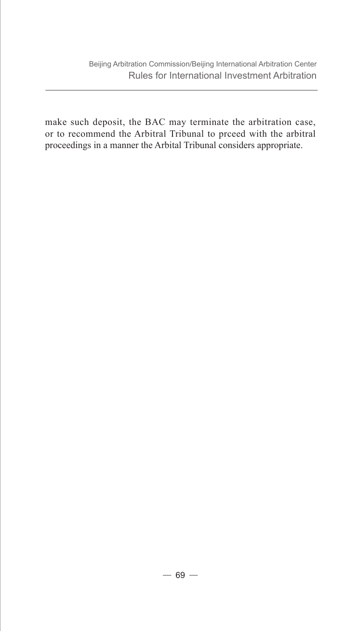make such deposit, the BAC may terminate the arbitration case, or to recommend the Arbitral Tribunal to prceed with the arbitral proceedings in a manner the Arbital Tribunal considers appropriate.